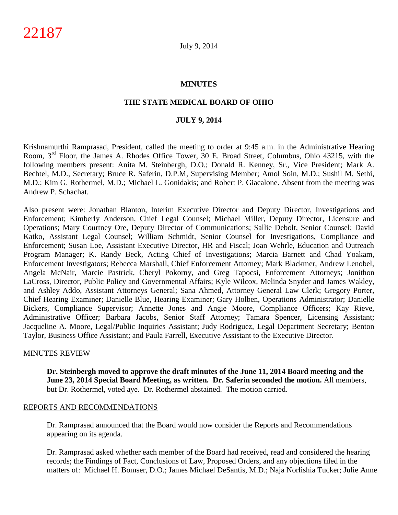#### **MINUTES**

#### **THE STATE MEDICAL BOARD OF OHIO**

#### **JULY 9, 2014**

Krishnamurthi Ramprasad, President, called the meeting to order at 9:45 a.m. in the Administrative Hearing Room, 3rd Floor, the James A. Rhodes Office Tower, 30 E. Broad Street, Columbus, Ohio 43215, with the following members present: Anita M. Steinbergh, D.O.; Donald R. Kenney, Sr., Vice President; Mark A. Bechtel, M.D., Secretary; Bruce R. Saferin, D.P.M, Supervising Member; Amol Soin, M.D.; Sushil M. Sethi, M.D.; Kim G. Rothermel, M.D.; Michael L. Gonidakis; and Robert P. Giacalone. Absent from the meeting was Andrew P. Schachat.

Also present were: Jonathan Blanton, Interim Executive Director and Deputy Director, Investigations and Enforcement; Kimberly Anderson, Chief Legal Counsel; Michael Miller, Deputy Director, Licensure and Operations; Mary Courtney Ore, Deputy Director of Communications; Sallie Debolt, Senior Counsel; David Katko, Assistant Legal Counsel; William Schmidt, Senior Counsel for Investigations, Compliance and Enforcement; Susan Loe, Assistant Executive Director, HR and Fiscal; Joan Wehrle, Education and Outreach Program Manager; K. Randy Beck, Acting Chief of Investigations; Marcia Barnett and Chad Yoakam, Enforcement Investigators; Rebecca Marshall, Chief Enforcement Attorney; Mark Blackmer, Andrew Lenobel, Angela McNair, Marcie Pastrick, Cheryl Pokorny, and Greg Tapocsi, Enforcement Attorneys; Jonithon LaCross, Director, Public Policy and Governmental Affairs; Kyle Wilcox, Melinda Snyder and James Wakley, and Ashley Addo, Assistant Attorneys General; Sana Ahmed, Attorney General Law Clerk; Gregory Porter, Chief Hearing Examiner; Danielle Blue, Hearing Examiner; Gary Holben, Operations Administrator; Danielle Bickers, Compliance Supervisor; Annette Jones and Angie Moore, Compliance Officers; Kay Rieve, Administrative Officer; Barbara Jacobs, Senior Staff Attorney; Tamara Spencer, Licensing Assistant; Jacqueline A. Moore, Legal/Public Inquiries Assistant; Judy Rodriguez, Legal Department Secretary; Benton Taylor, Business Office Assistant; and Paula Farrell, Executive Assistant to the Executive Director.

#### MINUTES REVIEW

**Dr. Steinbergh moved to approve the draft minutes of the June 11, 2014 Board meeting and the June 23, 2014 Special Board Meeting, as written. Dr. Saferin seconded the motion.** All members, but Dr. Rothermel, voted aye. Dr. Rothermel abstained. The motion carried.

#### REPORTS AND RECOMMENDATIONS

Dr. Ramprasad announced that the Board would now consider the Reports and Recommendations appearing on its agenda.

Dr. Ramprasad asked whether each member of the Board had received, read and considered the hearing records; the Findings of Fact, Conclusions of Law, Proposed Orders, and any objections filed in the matters of: Michael H. Bomser, D.O.; James Michael DeSantis, M.D.; Naja Norlishia Tucker; Julie Anne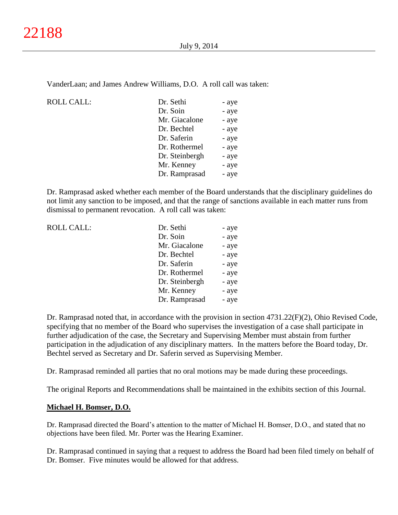VanderLaan; and James Andrew Williams, D.O. A roll call was taken:

ROLL CALL:

| Dr. Sethi      | - aye |
|----------------|-------|
| Dr. Soin       | - aye |
| Mr. Giacalone  | - aye |
| Dr. Bechtel    | - aye |
| Dr. Saferin    | - aye |
| Dr. Rothermel  | - aye |
| Dr. Steinbergh | - aye |
| Mr. Kenney     | - aye |
| Dr. Ramprasad  | - aye |
|                |       |

Dr. Ramprasad asked whether each member of the Board understands that the disciplinary guidelines do not limit any sanction to be imposed, and that the range of sanctions available in each matter runs from dismissal to permanent revocation. A roll call was taken:

| <b>ROLL CALL:</b> | Dr. Sethi      | - aye |
|-------------------|----------------|-------|
|                   | Dr. Soin       | - aye |
|                   | Mr. Giacalone  | - aye |
|                   | Dr. Bechtel    | - aye |
|                   | Dr. Saferin    | - aye |
|                   | Dr. Rothermel  | - aye |
|                   | Dr. Steinbergh | - aye |
|                   | Mr. Kenney     | - aye |
|                   | Dr. Ramprasad  | - aye |

Dr. Ramprasad noted that, in accordance with the provision in section 4731.22(F)(2), Ohio Revised Code, specifying that no member of the Board who supervises the investigation of a case shall participate in further adjudication of the case, the Secretary and Supervising Member must abstain from further participation in the adjudication of any disciplinary matters. In the matters before the Board today, Dr. Bechtel served as Secretary and Dr. Saferin served as Supervising Member.

Dr. Ramprasad reminded all parties that no oral motions may be made during these proceedings.

The original Reports and Recommendations shall be maintained in the exhibits section of this Journal.

#### **Michael H. Bomser, D.O.**

Dr. Ramprasad directed the Board's attention to the matter of Michael H. Bomser, D.O., and stated that no objections have been filed. Mr. Porter was the Hearing Examiner.

Dr. Ramprasad continued in saying that a request to address the Board had been filed timely on behalf of Dr. Bomser. Five minutes would be allowed for that address.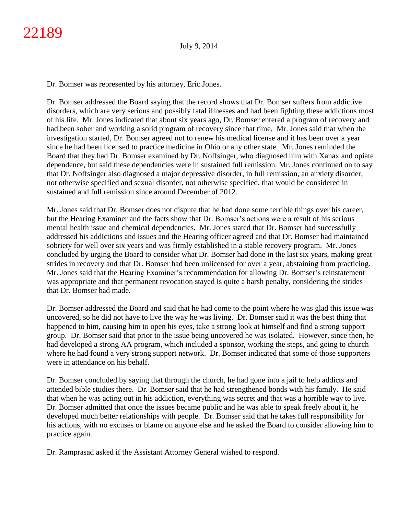Dr. Bomser was represented by his attorney, Eric Jones.

Dr. Bomser addressed the Board saying that the record shows that Dr. Bomser suffers from addictive disorders, which are very serious and possibly fatal illnesses and had been fighting these addictions most of his life. Mr. Jones indicated that about six years ago, Dr. Bomser entered a program of recovery and had been sober and working a solid program of recovery since that time. Mr. Jones said that when the investigation started, Dr. Bomser agreed not to renew his medical license and it has been over a year since he had been licensed to practice medicine in Ohio or any other state. Mr. Jones reminded the Board that they had Dr. Bomser examined by Dr. Noffsinger, who diagnosed him with Xanax and opiate dependence, but said these dependencies were in sustained full remission. Mr. Jones continued on to say that Dr. Noffsinger also diagnosed a major depressive disorder, in full remission, an anxiety disorder, not otherwise specified and sexual disorder, not otherwise specified, that would be considered in sustained and full remission since around December of 2012.

Mr. Jones said that Dr. Bomser does not dispute that he had done some terrible things over his career, but the Hearing Examiner and the facts show that Dr. Bomser's actions were a result of his serious mental health issue and chemical dependencies. Mr. Jones stated that Dr. Bomser had successfully addressed his addictions and issues and the Hearing officer agreed and that Dr. Bomser had maintained sobriety for well over six years and was firmly established in a stable recovery program. Mr. Jones concluded by urging the Board to consider what Dr. Bomser had done in the last six years, making great strides in recovery and that Dr. Bomser had been unlicensed for over a year, abstaining from practicing. Mr. Jones said that the Hearing Examiner's recommendation for allowing Dr. Bomser's reinstatement was appropriate and that permanent revocation stayed is quite a harsh penalty, considering the strides that Dr. Bomser had made.

Dr. Bomser addressed the Board and said that he had come to the point where he was glad this issue was uncovered, so he did not have to live the way he was living. Dr. Bomser said it was the best thing that happened to him, causing him to open his eyes, take a strong look at himself and find a strong support group. Dr. Bomser said that prior to the issue being uncovered he was isolated. However, since then, he had developed a strong AA program, which included a sponsor, working the steps, and going to church where he had found a very strong support network. Dr. Bomser indicated that some of those supporters were in attendance on his behalf.

Dr. Bomser concluded by saying that through the church, he had gone into a jail to help addicts and attended bible studies there. Dr. Bomser said that he had strengthened bonds with his family. He said that when he was acting out in his addiction, everything was secret and that was a horrible way to live. Dr. Bomser admitted that once the issues became public and he was able to speak freely about it, he developed much better relationships with people. Dr. Bomser said that he takes full responsibility for his actions, with no excuses or blame on anyone else and he asked the Board to consider allowing him to practice again.

Dr. Ramprasad asked if the Assistant Attorney General wished to respond.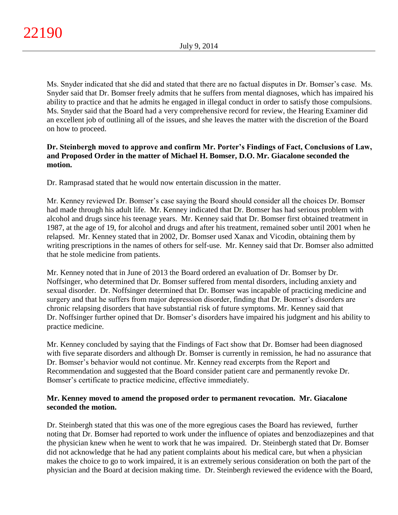Ms. Snyder indicated that she did and stated that there are no factual disputes in Dr. Bomser's case. Ms. Snyder said that Dr. Bomser freely admits that he suffers from mental diagnoses, which has impaired his ability to practice and that he admits he engaged in illegal conduct in order to satisfy those compulsions. Ms. Snyder said that the Board had a very comprehensive record for review, the Hearing Examiner did an excellent job of outlining all of the issues, and she leaves the matter with the discretion of the Board on how to proceed.

# **Dr. Steinbergh moved to approve and confirm Mr. Porter's Findings of Fact, Conclusions of Law, and Proposed Order in the matter of Michael H. Bomser, D.O. Mr. Giacalone seconded the motion.**

Dr. Ramprasad stated that he would now entertain discussion in the matter.

Mr. Kenney reviewed Dr. Bomser's case saying the Board should consider all the choices Dr. Bomser had made through his adult life. Mr. Kenney indicated that Dr. Bomser has had serious problem with alcohol and drugs since his teenage years. Mr. Kenney said that Dr. Bomser first obtained treatment in 1987, at the age of 19, for alcohol and drugs and after his treatment, remained sober until 2001 when he relapsed. Mr. Kenney stated that in 2002, Dr. Bomser used Xanax and Vicodin, obtaining them by writing prescriptions in the names of others for self-use. Mr. Kenney said that Dr. Bomser also admitted that he stole medicine from patients.

Mr. Kenney noted that in June of 2013 the Board ordered an evaluation of Dr. Bomser by Dr. Noffsinger, who determined that Dr. Bomser suffered from mental disorders, including anxiety and sexual disorder. Dr. Noffsinger determined that Dr. Bomser was incapable of practicing medicine and surgery and that he suffers from major depression disorder, finding that Dr. Bomser's disorders are chronic relapsing disorders that have substantial risk of future symptoms. Mr. Kenney said that Dr. Noffsinger further opined that Dr. Bomser's disorders have impaired his judgment and his ability to practice medicine.

Mr. Kenney concluded by saying that the Findings of Fact show that Dr. Bomser had been diagnosed with five separate disorders and although Dr. Bomser is currently in remission, he had no assurance that Dr. Bomser's behavior would not continue. Mr. Kenney read excerpts from the Report and Recommendation and suggested that the Board consider patient care and permanently revoke Dr. Bomser's certificate to practice medicine, effective immediately.

# **Mr. Kenney moved to amend the proposed order to permanent revocation. Mr. Giacalone seconded the motion.**

Dr. Steinbergh stated that this was one of the more egregious cases the Board has reviewed, further noting that Dr. Bomser had reported to work under the influence of opiates and benzodiazepines and that the physician knew when he went to work that he was impaired. Dr. Steinbergh stated that Dr. Bomser did not acknowledge that he had any patient complaints about his medical care, but when a physician makes the choice to go to work impaired, it is an extremely serious consideration on both the part of the physician and the Board at decision making time. Dr. Steinbergh reviewed the evidence with the Board,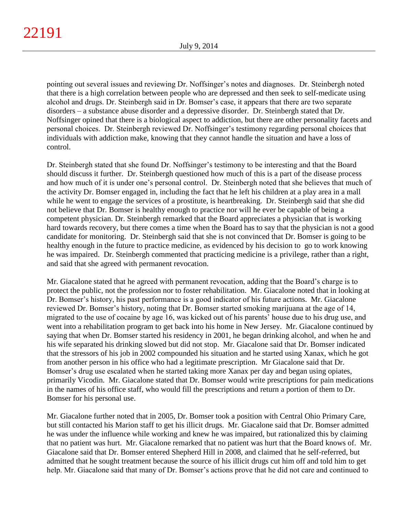pointing out several issues and reviewing Dr. Noffsinger's notes and diagnoses. Dr. Steinbergh noted that there is a high correlation between people who are depressed and then seek to self-medicate using alcohol and drugs. Dr. Steinbergh said in Dr. Bomser's case, it appears that there are two separate disorders – a substance abuse disorder and a depressive disorder. Dr. Steinbergh stated that Dr. Noffsinger opined that there is a biological aspect to addiction, but there are other personality facets and personal choices. Dr. Steinbergh reviewed Dr. Noffsinger's testimony regarding personal choices that individuals with addiction make, knowing that they cannot handle the situation and have a loss of control.

Dr. Steinbergh stated that she found Dr. Noffsinger's testimony to be interesting and that the Board should discuss it further. Dr. Steinbergh questioned how much of this is a part of the disease process and how much of it is under one's personal control. Dr. Steinbergh noted that she believes that much of the activity Dr. Bomser engaged in, including the fact that he left his children at a play area in a mall while he went to engage the services of a prostitute, is heartbreaking. Dr. Steinbergh said that she did not believe that Dr. Bomser is healthy enough to practice nor will he ever be capable of being a competent physician. Dr. Steinbergh remarked that the Board appreciates a physician that is working hard towards recovery, but there comes a time when the Board has to say that the physician is not a good candidate for monitoring. Dr. Steinbergh said that she is not convinced that Dr. Bomser is going to be healthy enough in the future to practice medicine, as evidenced by his decision to go to work knowing he was impaired. Dr. Steinbergh commented that practicing medicine is a privilege, rather than a right, and said that she agreed with permanent revocation.

Mr. Giacalone stated that he agreed with permanent revocation, adding that the Board's charge is to protect the public, not the profession nor to foster rehabilitation. Mr. Giacalone noted that in looking at Dr. Bomser's history, his past performance is a good indicator of his future actions. Mr. Giacalone reviewed Dr. Bomser's history, noting that Dr. Bomser started smoking marijuana at the age of 14, migrated to the use of cocaine by age 16, was kicked out of his parents' house due to his drug use, and went into a rehabilitation program to get back into his home in New Jersey. Mr. Giacalone continued by saying that when Dr. Bomser started his residency in 2001, he began drinking alcohol, and when he and his wife separated his drinking slowed but did not stop. Mr. Giacalone said that Dr. Bomser indicated that the stressors of his job in 2002 compounded his situation and he started using Xanax, which he got from another person in his office who had a legitimate prescription. Mr Giacalone said that Dr. Bomser's drug use escalated when he started taking more Xanax per day and began using opiates, primarily Vicodin. Mr. Giacalone stated that Dr. Bomser would write prescriptions for pain medications in the names of his office staff, who would fill the prescriptions and return a portion of them to Dr. Bomser for his personal use.

Mr. Giacalone further noted that in 2005, Dr. Bomser took a position with Central Ohio Primary Care, but still contacted his Marion staff to get his illicit drugs. Mr. Giacalone said that Dr. Bomser admitted he was under the influence while working and knew he was impaired, but rationalized this by claiming that no patient was hurt. Mr. Giacalone remarked that no patient was hurt that the Board knows of. Mr. Giacalone said that Dr. Bomser entered Shepherd Hill in 2008, and claimed that he self-referred, but admitted that he sought treatment because the source of his illicit drugs cut him off and told him to get help. Mr. Giacalone said that many of Dr. Bomser's actions prove that he did not care and continued to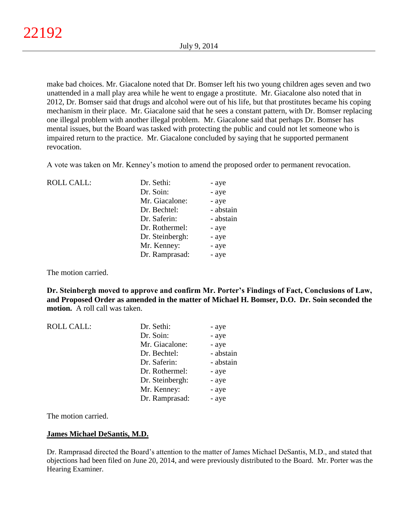make bad choices. Mr. Giacalone noted that Dr. Bomser left his two young children ages seven and two unattended in a mall play area while he went to engage a prostitute. Mr. Giacalone also noted that in 2012, Dr. Bomser said that drugs and alcohol were out of his life, but that prostitutes became his coping mechanism in their place. Mr. Giacalone said that he sees a constant pattern, with Dr. Bomser replacing one illegal problem with another illegal problem. Mr. Giacalone said that perhaps Dr. Bomser has mental issues, but the Board was tasked with protecting the public and could not let someone who is impaired return to the practice. Mr. Giacalone concluded by saying that he supported permanent revocation.

A vote was taken on Mr. Kenney's motion to amend the proposed order to permanent revocation.

| <b>ROLL CALL:</b> | Dr. Sethi:      | - aye     |
|-------------------|-----------------|-----------|
|                   | Dr. Soin:       | - aye     |
|                   | Mr. Giacalone:  | - aye     |
|                   | Dr. Bechtel:    | - abstain |
|                   | Dr. Saferin:    | - abstain |
|                   | Dr. Rothermel:  | - aye     |
|                   | Dr. Steinbergh: | - aye     |
|                   | Mr. Kenney:     | - aye     |
|                   | Dr. Ramprasad:  | - aye     |

The motion carried.

**Dr. Steinbergh moved to approve and confirm Mr. Porter's Findings of Fact, Conclusions of Law, and Proposed Order as amended in the matter of Michael H. Bomser, D.O. Dr. Soin seconded the motion.** A roll call was taken.

| <b>ROLL CALL:</b> | Dr. Sethi:      | - aye     |
|-------------------|-----------------|-----------|
|                   | Dr. Soin:       | - aye     |
|                   | Mr. Giacalone:  | - aye     |
|                   | Dr. Bechtel:    | - abstain |
|                   | Dr. Saferin:    | - abstain |
|                   | Dr. Rothermel:  | - aye     |
|                   | Dr. Steinbergh: | - aye     |
|                   | Mr. Kenney:     | - aye     |
|                   | Dr. Ramprasad:  | - aye     |

The motion carried.

## **James Michael DeSantis, M.D.**

Dr. Ramprasad directed the Board's attention to the matter of James Michael DeSantis, M.D., and stated that objections had been filed on June 20, 2014, and were previously distributed to the Board. Mr. Porter was the Hearing Examiner.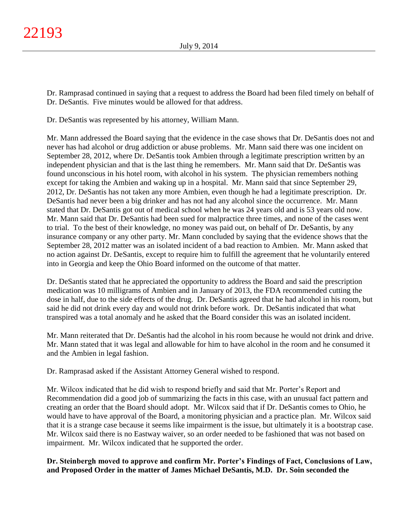Dr. Ramprasad continued in saying that a request to address the Board had been filed timely on behalf of Dr. DeSantis. Five minutes would be allowed for that address.

Dr. DeSantis was represented by his attorney, William Mann.

Mr. Mann addressed the Board saying that the evidence in the case shows that Dr. DeSantis does not and never has had alcohol or drug addiction or abuse problems. Mr. Mann said there was one incident on September 28, 2012, where Dr. DeSantis took Ambien through a legitimate prescription written by an independent physician and that is the last thing he remembers. Mr. Mann said that Dr. DeSantis was found unconscious in his hotel room, with alcohol in his system. The physician remembers nothing except for taking the Ambien and waking up in a hospital. Mr. Mann said that since September 29, 2012, Dr. DeSantis has not taken any more Ambien, even though he had a legitimate prescription. Dr. DeSantis had never been a big drinker and has not had any alcohol since the occurrence. Mr. Mann stated that Dr. DeSantis got out of medical school when he was 24 years old and is 53 years old now. Mr. Mann said that Dr. DeSantis had been sued for malpractice three times, and none of the cases went to trial. To the best of their knowledge, no money was paid out, on behalf of Dr. DeSantis, by any insurance company or any other party. Mr. Mann concluded by saying that the evidence shows that the September 28, 2012 matter was an isolated incident of a bad reaction to Ambien. Mr. Mann asked that no action against Dr. DeSantis, except to require him to fulfill the agreement that he voluntarily entered into in Georgia and keep the Ohio Board informed on the outcome of that matter.

Dr. DeSantis stated that he appreciated the opportunity to address the Board and said the prescription medication was 10 milligrams of Ambien and in January of 2013, the FDA recommended cutting the dose in half, due to the side effects of the drug. Dr. DeSantis agreed that he had alcohol in his room, but said he did not drink every day and would not drink before work. Dr. DeSantis indicated that what transpired was a total anomaly and he asked that the Board consider this was an isolated incident.

Mr. Mann reiterated that Dr. DeSantis had the alcohol in his room because he would not drink and drive. Mr. Mann stated that it was legal and allowable for him to have alcohol in the room and he consumed it and the Ambien in legal fashion.

Dr. Ramprasad asked if the Assistant Attorney General wished to respond.

Mr. Wilcox indicated that he did wish to respond briefly and said that Mr. Porter's Report and Recommendation did a good job of summarizing the facts in this case, with an unusual fact pattern and creating an order that the Board should adopt. Mr. Wilcox said that if Dr. DeSantis comes to Ohio, he would have to have approval of the Board, a monitoring physician and a practice plan. Mr. Wilcox said that it is a strange case because it seems like impairment is the issue, but ultimately it is a bootstrap case. Mr. Wilcox said there is no Eastway waiver, so an order needed to be fashioned that was not based on impairment. Mr. Wilcox indicated that he supported the order.

**Dr. Steinbergh moved to approve and confirm Mr. Porter's Findings of Fact, Conclusions of Law, and Proposed Order in the matter of James Michael DeSantis, M.D. Dr. Soin seconded the**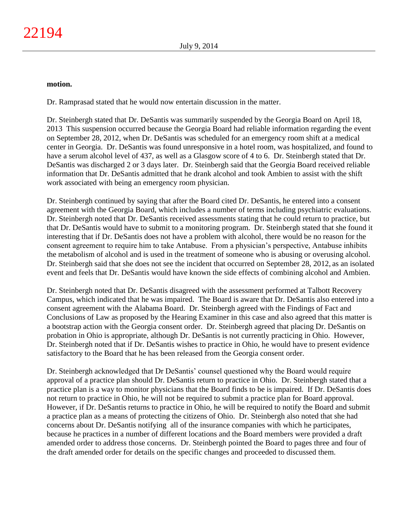#### **motion.**

Dr. Ramprasad stated that he would now entertain discussion in the matter.

Dr. Steinbergh stated that Dr. DeSantis was summarily suspended by the Georgia Board on April 18, 2013 This suspension occurred because the Georgia Board had reliable information regarding the event on September 28, 2012, when Dr. DeSantis was scheduled for an emergency room shift at a medical center in Georgia. Dr. DeSantis was found unresponsive in a hotel room, was hospitalized, and found to have a serum alcohol level of 437, as well as a Glasgow score of 4 to 6. Dr. Steinbergh stated that Dr. DeSantis was discharged 2 or 3 days later. Dr. Steinbergh said that the Georgia Board received reliable information that Dr. DeSantis admitted that he drank alcohol and took Ambien to assist with the shift work associated with being an emergency room physician.

Dr. Steinbergh continued by saying that after the Board cited Dr. DeSantis, he entered into a consent agreement with the Georgia Board, which includes a number of terms including psychiatric evaluations. Dr. Steinbergh noted that Dr. DeSantis received assessments stating that he could return to practice, but that Dr. DeSantis would have to submit to a monitoring program. Dr. Steinbergh stated that she found it interesting that if Dr. DeSantis does not have a problem with alcohol, there would be no reason for the consent agreement to require him to take Antabuse. From a physician's perspective, Antabuse inhibits the metabolism of alcohol and is used in the treatment of someone who is abusing or overusing alcohol. Dr. Steinbergh said that she does not see the incident that occurred on September 28, 2012, as an isolated event and feels that Dr. DeSantis would have known the side effects of combining alcohol and Ambien.

Dr. Steinbergh noted that Dr. DeSantis disagreed with the assessment performed at Talbott Recovery Campus, which indicated that he was impaired. The Board is aware that Dr. DeSantis also entered into a consent agreement with the Alabama Board. Dr. Steinbergh agreed with the Findings of Fact and Conclusions of Law as proposed by the Hearing Examiner in this case and also agreed that this matter is a bootstrap action with the Georgia consent order. Dr. Steinbergh agreed that placing Dr. DeSantis on probation in Ohio is appropriate, although Dr. DeSantis is not currently practicing in Ohio. However, Dr. Steinbergh noted that if Dr. DeSantis wishes to practice in Ohio, he would have to present evidence satisfactory to the Board that he has been released from the Georgia consent order.

Dr. Steinbergh acknowledged that Dr DeSantis' counsel questioned why the Board would require approval of a practice plan should Dr. DeSantis return to practice in Ohio. Dr. Steinbergh stated that a practice plan is a way to monitor physicians that the Board finds to be is impaired. If Dr. DeSantis does not return to practice in Ohio, he will not be required to submit a practice plan for Board approval. However, if Dr. DeSantis returns to practice in Ohio, he will be required to notify the Board and submit a practice plan as a means of protecting the citizens of Ohio. Dr. Steinbergh also noted that she had concerns about Dr. DeSantis notifying all of the insurance companies with which he participates, because he practices in a number of different locations and the Board members were provided a draft amended order to address those concerns. Dr. Steinbergh pointed the Board to pages three and four of the draft amended order for details on the specific changes and proceeded to discussed them.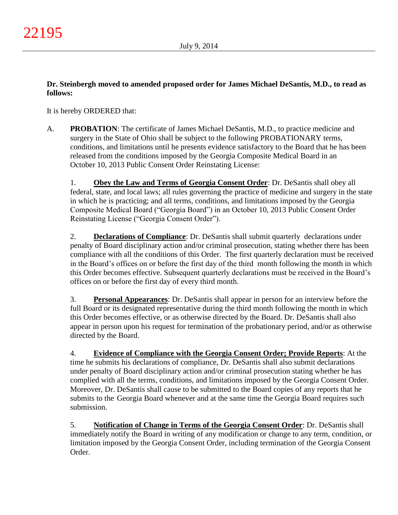# **Dr. Steinbergh moved to amended proposed order for James Michael DeSantis, M.D., to read as follows:**

It is hereby ORDERED that:

A. **PROBATION**: The certificate of James Michael DeSantis, M.D., to practice medicine and surgery in the State of Ohio shall be subject to the following PROBATIONARY terms, conditions, and limitations until he presents evidence satisfactory to the Board that he has been released from the conditions imposed by the Georgia Composite Medical Board in an October 10, 2013 Public Consent Order Reinstating License:

1. **Obey the Law and Terms of Georgia Consent Order**: Dr. DeSantis shall obey all federal, state, and local laws; all rules governing the practice of medicine and surgery in the state in which he is practicing; and all terms, conditions, and limitations imposed by the Georgia Composite Medical Board ("Georgia Board") in an October 10, 2013 Public Consent Order Reinstating License ("Georgia Consent Order").

2. **Declarations of Compliance**: Dr. DeSantis shall submit quarterly declarations under penalty of Board disciplinary action and/or criminal prosecution, stating whether there has been compliance with all the conditions of this Order. The first quarterly declaration must be received in the Board's offices on or before the first day of the third month following the month in which this Order becomes effective. Subsequent quarterly declarations must be received in the Board's offices on or before the first day of every third month.

3. **Personal Appearances**: Dr. DeSantis shall appear in person for an interview before the full Board or its designated representative during the third month following the month in which this Order becomes effective, or as otherwise directed by the Board. Dr. DeSantis shall also appear in person upon his request for termination of the probationary period, and/or as otherwise directed by the Board.

4. **Evidence of Compliance with the Georgia Consent Order; Provide Reports**: At the time he submits his declarations of compliance, Dr. DeSantis shall also submit declarations under penalty of Board disciplinary action and/or criminal prosecution stating whether he has complied with all the terms, conditions, and limitations imposed by the Georgia Consent Order. Moreover, Dr. DeSantis shall cause to be submitted to the Board copies of any reports that he submits to the Georgia Board whenever and at the same time the Georgia Board requires such submission.

5. **Notification of Change in Terms of the Georgia Consent Order**: Dr. DeSantis shall immediately notify the Board in writing of any modification or change to any term, condition, or limitation imposed by the Georgia Consent Order, including termination of the Georgia Consent Order.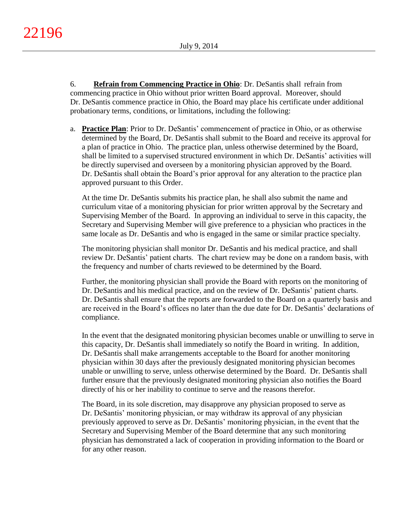6. **Refrain from Commencing Practice in Ohio**: Dr. DeSantis shall refrain from commencing practice in Ohio without prior written Board approval. Moreover, should Dr. DeSantis commence practice in Ohio, the Board may place his certificate under additional probationary terms, conditions, or limitations, including the following:

a. **Practice Plan**: Prior to Dr. DeSantis' commencement of practice in Ohio, or as otherwise determined by the Board, Dr. DeSantis shall submit to the Board and receive its approval for a plan of practice in Ohio. The practice plan, unless otherwise determined by the Board, shall be limited to a supervised structured environment in which Dr. DeSantis' activities will be directly supervised and overseen by a monitoring physician approved by the Board. Dr. DeSantis shall obtain the Board's prior approval for any alteration to the practice plan approved pursuant to this Order.

At the time Dr. DeSantis submits his practice plan, he shall also submit the name and curriculum vitae of a monitoring physician for prior written approval by the Secretary and Supervising Member of the Board. In approving an individual to serve in this capacity, the Secretary and Supervising Member will give preference to a physician who practices in the same locale as Dr. DeSantis and who is engaged in the same or similar practice specialty.

The monitoring physician shall monitor Dr. DeSantis and his medical practice, and shall review Dr. DeSantis' patient charts. The chart review may be done on a random basis, with the frequency and number of charts reviewed to be determined by the Board.

Further, the monitoring physician shall provide the Board with reports on the monitoring of Dr. DeSantis and his medical practice, and on the review of Dr. DeSantis' patient charts. Dr. DeSantis shall ensure that the reports are forwarded to the Board on a quarterly basis and are received in the Board's offices no later than the due date for Dr. DeSantis' declarations of compliance.

In the event that the designated monitoring physician becomes unable or unwilling to serve in this capacity, Dr. DeSantis shall immediately so notify the Board in writing. In addition, Dr. DeSantis shall make arrangements acceptable to the Board for another monitoring physician within 30 days after the previously designated monitoring physician becomes unable or unwilling to serve, unless otherwise determined by the Board. Dr. DeSantis shall further ensure that the previously designated monitoring physician also notifies the Board directly of his or her inability to continue to serve and the reasons therefor.

The Board, in its sole discretion, may disapprove any physician proposed to serve as Dr. DeSantis' monitoring physician, or may withdraw its approval of any physician previously approved to serve as Dr. DeSantis' monitoring physician, in the event that the Secretary and Supervising Member of the Board determine that any such monitoring physician has demonstrated a lack of cooperation in providing information to the Board or for any other reason.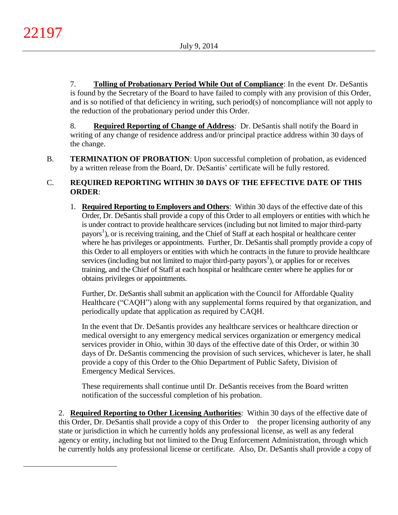$\overline{a}$ 

7. **Tolling of Probationary Period While Out of Compliance**: In the event Dr. DeSantis is found by the Secretary of the Board to have failed to comply with any provision of this Order, and is so notified of that deficiency in writing, such period(s) of noncompliance will not apply to the reduction of the probationary period under this Order.

8. **Required Reporting of Change of Address**: Dr. DeSantis shall notify the Board in writing of any change of residence address and/or principal practice address within 30 days of the change.

B. **TERMINATION OF PROBATION**: Upon successful completion of probation, as evidenced by a written release from the Board, Dr. DeSantis' certificate will be fully restored.

# C. **REQUIRED REPORTING WITHIN 30 DAYS OF THE EFFECTIVE DATE OF THIS ORDER**:

1. **Required Reporting to Employers and Others**: Within 30 days of the effective date of this Order, Dr. DeSantis shall provide a copy of this Order to all employers or entities with which he is under contract to provide healthcare services (including but not limited to major third-party payors 1 ), or is receiving training, and the Chief of Staff at each hospital or healthcare center where he has privileges or appointments. Further, Dr. DeSantis shall promptly provide a copy of this Order to all employers or entities with which he contracts in the future to provide healthcare services (including but not limited to major third-party payors<sup>1</sup>), or applies for or receives training, and the Chief of Staff at each hospital or healthcare center where he applies for or obtains privileges or appointments.

Further, Dr. DeSantis shall submit an application with the Council for Affordable Quality Healthcare ("CAQH") along with any supplemental forms required by that organization, and periodically update that application as required by CAQH.

In the event that Dr. DeSantis provides any healthcare services or healthcare direction or medical oversight to any emergency medical services organization or emergency medical services provider in Ohio, within 30 days of the effective date of this Order, or within 30 days of Dr. DeSantis commencing the provision of such services, whichever is later, he shall provide a copy of this Order to the Ohio Department of Public Safety, Division of Emergency Medical Services.

These requirements shall continue until Dr. DeSantis receives from the Board written notification of the successful completion of his probation.

2. **Required Reporting to Other Licensing Authorities**: Within 30 days of the effective date of this Order, Dr. DeSantis shall provide a copy of this Order to the proper licensing authority of any state or jurisdiction in which he currently holds any professional license, as well as any federal agency or entity, including but not limited to the Drug Enforcement Administration, through which he currently holds any professional license or certificate. Also, Dr. DeSantis shall provide a copy of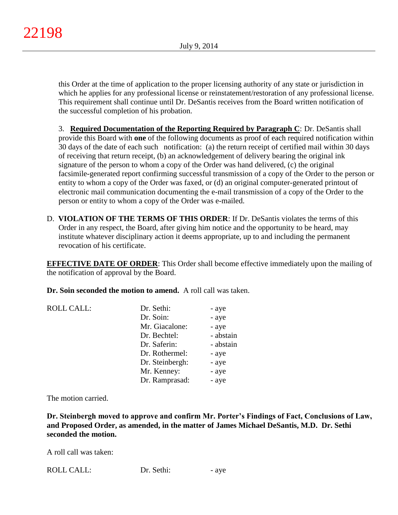this Order at the time of application to the proper licensing authority of any state or jurisdiction in which he applies for any professional license or reinstatement/restoration of any professional license. This requirement shall continue until Dr. DeSantis receives from the Board written notification of the successful completion of his probation.

3. **Required Documentation of the Reporting Required by Paragraph C**: Dr. DeSantis shall provide this Board with **one** of the following documents as proof of each required notification within 30 days of the date of each such notification: (a) the return receipt of certified mail within 30 days of receiving that return receipt, (b) an acknowledgement of delivery bearing the original ink signature of the person to whom a copy of the Order was hand delivered, (c) the original facsimile-generated report confirming successful transmission of a copy of the Order to the person or entity to whom a copy of the Order was faxed, or (d) an original computer-generated printout of electronic mail communication documenting the e-mail transmission of a copy of the Order to the person or entity to whom a copy of the Order was e-mailed.

D. **VIOLATION OF THE TERMS OF THIS ORDER**: If Dr. DeSantis violates the terms of this Order in any respect, the Board, after giving him notice and the opportunity to be heard, may institute whatever disciplinary action it deems appropriate, up to and including the permanent revocation of his certificate.

**EFFECTIVE DATE OF ORDER:** This Order shall become effective immediately upon the mailing of the notification of approval by the Board.

**Dr. Soin seconded the motion to amend.** A roll call was taken.

| <b>ROLL CALL:</b> | Dr. Sethi:      | - aye     |
|-------------------|-----------------|-----------|
|                   | Dr. Soin:       | - aye     |
|                   | Mr. Giacalone:  | - aye     |
|                   | Dr. Bechtel:    | - abstain |
|                   | Dr. Saferin:    | - abstain |
|                   | Dr. Rothermel:  | - aye     |
|                   | Dr. Steinbergh: | - aye     |
|                   | Mr. Kenney:     | - aye     |
|                   | Dr. Ramprasad:  | - aye     |

The motion carried.

**Dr. Steinbergh moved to approve and confirm Mr. Porter's Findings of Fact, Conclusions of Law, and Proposed Order, as amended, in the matter of James Michael DeSantis, M.D. Dr. Sethi seconded the motion.**

A roll call was taken:

| <b>ROLL CALL:</b> | Dr. Sethi: | - ave |
|-------------------|------------|-------|
|-------------------|------------|-------|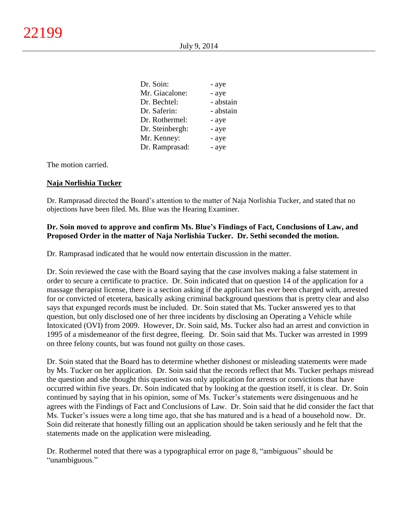| Dr. Soin:       | - aye     |
|-----------------|-----------|
| Mr. Giacalone:  | - aye     |
| Dr. Bechtel:    | - abstain |
| Dr. Saferin:    | - abstain |
| Dr. Rothermel:  | - aye     |
| Dr. Steinbergh: | - aye     |
| Mr. Kenney:     | - aye     |
| Dr. Ramprasad:  | - aye     |

The motion carried.

## **Naja Norlishia Tucker**

Dr. Ramprasad directed the Board's attention to the matter of Naja Norlishia Tucker, and stated that no objections have been filed. Ms. Blue was the Hearing Examiner.

## **Dr. Soin moved to approve and confirm Ms. Blue's Findings of Fact, Conclusions of Law, and Proposed Order in the matter of Naja Norlishia Tucker. Dr. Sethi seconded the motion.**

Dr. Ramprasad indicated that he would now entertain discussion in the matter.

Dr. Soin reviewed the case with the Board saying that the case involves making a false statement in order to secure a certificate to practice. Dr. Soin indicated that on question 14 of the application for a massage therapist license, there is a section asking if the applicant has ever been charged with, arrested for or convicted of etcetera, basically asking criminal background questions that is pretty clear and also says that expunged records must be included. Dr. Soin stated that Ms. Tucker answered yes to that question, but only disclosed one of her three incidents by disclosing an Operating a Vehicle while Intoxicated (OVI) from 2009. However, Dr. Soin said, Ms. Tucker also had an arrest and conviction in 1995 of a misdemeanor of the first degree, fleeing. Dr. Soin said that Ms. Tucker was arrested in 1999 on three felony counts, but was found not guilty on those cases.

Dr. Soin stated that the Board has to determine whether dishonest or misleading statements were made by Ms. Tucker on her application. Dr. Soin said that the records reflect that Ms. Tucker perhaps misread the question and she thought this question was only application for arrests or convictions that have occurred within five years. Dr. Soin indicated that by looking at the question itself, it is clear. Dr. Soin continued by saying that in his opinion, some of Ms. Tucker's statements were disingenuous and he agrees with the Findings of Fact and Conclusions of Law. Dr. Soin said that he did consider the fact that Ms. Tucker's issues were a long time ago, that she has matured and is a head of a household now. Dr. Soin did reiterate that honestly filling out an application should be taken seriously and he felt that the statements made on the application were misleading.

Dr. Rothermel noted that there was a typographical error on page 8, "ambiguous" should be "unambiguous."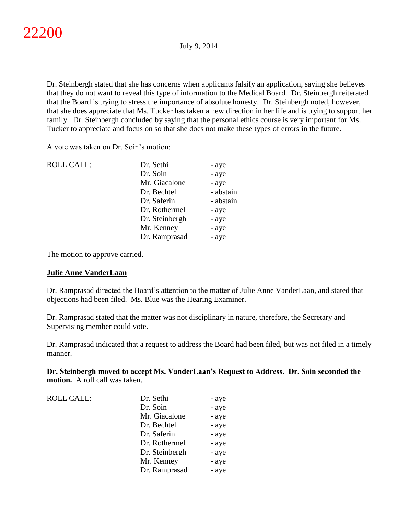Dr. Steinbergh stated that she has concerns when applicants falsify an application, saying she believes that they do not want to reveal this type of information to the Medical Board. Dr. Steinbergh reiterated that the Board is trying to stress the importance of absolute honesty. Dr. Steinbergh noted, however, that she does appreciate that Ms. Tucker has taken a new direction in her life and is trying to support her family. Dr. Steinbergh concluded by saying that the personal ethics course is very important for Ms. Tucker to appreciate and focus on so that she does not make these types of errors in the future.

A vote was taken on Dr. Soin's motion:

| <b>ROLL CALL:</b> | Dr. Sethi      | - aye     |
|-------------------|----------------|-----------|
|                   | Dr. Soin       | - aye     |
|                   | Mr. Giacalone  | - aye     |
|                   | Dr. Bechtel    | - abstain |
|                   | Dr. Saferin    | - abstain |
|                   | Dr. Rothermel  | - aye     |
|                   | Dr. Steinbergh | - aye     |
|                   | Mr. Kenney     | - aye     |
|                   | Dr. Ramprasad  | - aye     |

The motion to approve carried.

## **Julie Anne VanderLaan**

Dr. Ramprasad directed the Board's attention to the matter of Julie Anne VanderLaan, and stated that objections had been filed. Ms. Blue was the Hearing Examiner.

Dr. Ramprasad stated that the matter was not disciplinary in nature, therefore, the Secretary and Supervising member could vote.

Dr. Ramprasad indicated that a request to address the Board had been filed, but was not filed in a timely manner.

**Dr. Steinbergh moved to accept Ms. VanderLaan's Request to Address. Dr. Soin seconded the motion.** A roll call was taken.

| <b>ROLL CALL:</b> | Dr. Sethi      | - aye |
|-------------------|----------------|-------|
|                   | Dr. Soin       | - aye |
|                   | Mr. Giacalone  | - aye |
|                   | Dr. Bechtel    | - aye |
|                   | Dr. Saferin    | - aye |
|                   | Dr. Rothermel  | - aye |
|                   | Dr. Steinbergh | - aye |
|                   | Mr. Kenney     | - aye |
|                   | Dr. Ramprasad  | - aye |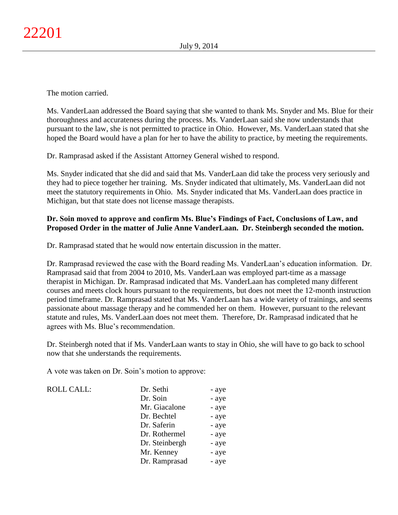The motion carried.

Ms. VanderLaan addressed the Board saying that she wanted to thank Ms. Snyder and Ms. Blue for their thoroughness and accurateness during the process. Ms. VanderLaan said she now understands that pursuant to the law, she is not permitted to practice in Ohio. However, Ms. VanderLaan stated that she hoped the Board would have a plan for her to have the ability to practice, by meeting the requirements.

Dr. Ramprasad asked if the Assistant Attorney General wished to respond.

Ms. Snyder indicated that she did and said that Ms. VanderLaan did take the process very seriously and they had to piece together her training. Ms. Snyder indicated that ultimately, Ms. VanderLaan did not meet the statutory requirements in Ohio. Ms. Snyder indicated that Ms. VanderLaan does practice in Michigan, but that state does not license massage therapists.

# **Dr. Soin moved to approve and confirm Ms. Blue's Findings of Fact, Conclusions of Law, and Proposed Order in the matter of Julie Anne VanderLaan. Dr. Steinbergh seconded the motion.**

Dr. Ramprasad stated that he would now entertain discussion in the matter.

Dr. Ramprasad reviewed the case with the Board reading Ms. VanderLaan's education information. Dr. Ramprasad said that from 2004 to 2010, Ms. VanderLaan was employed part-time as a massage therapist in Michigan. Dr. Ramprasad indicated that Ms. VanderLaan has completed many different courses and meets clock hours pursuant to the requirements, but does not meet the 12-month instruction period timeframe. Dr. Ramprasad stated that Ms. VanderLaan has a wide variety of trainings, and seems passionate about massage therapy and he commended her on them. However, pursuant to the relevant statute and rules, Ms. VanderLaan does not meet them. Therefore, Dr. Ramprasad indicated that he agrees with Ms. Blue's recommendation.

Dr. Steinbergh noted that if Ms. VanderLaan wants to stay in Ohio, she will have to go back to school now that she understands the requirements.

A vote was taken on Dr. Soin's motion to approve:

| <b>ROLL CALL:</b> | Dr. Sethi      | - aye |
|-------------------|----------------|-------|
|                   | Dr. Soin       | - aye |
|                   | Mr. Giacalone  | - aye |
|                   | Dr. Bechtel    | - aye |
|                   | Dr. Saferin    | - aye |
|                   | Dr. Rothermel  | - aye |
|                   | Dr. Steinbergh | - aye |
|                   | Mr. Kenney     | - aye |
|                   | Dr. Ramprasad  | - aye |
|                   |                |       |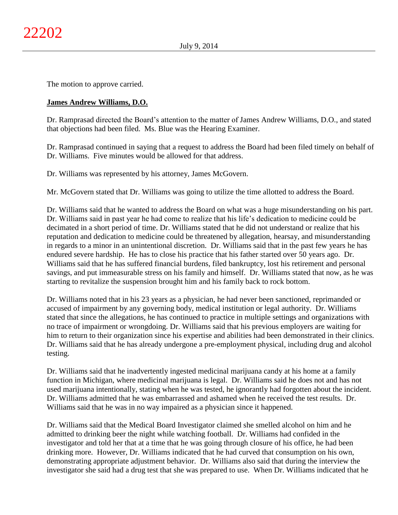The motion to approve carried.

## **James Andrew Williams, D.O.**

Dr. Ramprasad directed the Board's attention to the matter of James Andrew Williams, D.O., and stated that objections had been filed. Ms. Blue was the Hearing Examiner.

Dr. Ramprasad continued in saying that a request to address the Board had been filed timely on behalf of Dr. Williams. Five minutes would be allowed for that address.

Dr. Williams was represented by his attorney, James McGovern.

Mr. McGovern stated that Dr. Williams was going to utilize the time allotted to address the Board.

Dr. Williams said that he wanted to address the Board on what was a huge misunderstanding on his part. Dr. Williams said in past year he had come to realize that his life's dedication to medicine could be decimated in a short period of time. Dr. Williams stated that he did not understand or realize that his reputation and dedication to medicine could be threatened by allegation, hearsay, and misunderstanding in regards to a minor in an unintentional discretion. Dr. Williams said that in the past few years he has endured severe hardship. He has to close his practice that his father started over 50 years ago. Dr. Williams said that he has suffered financial burdens, filed bankruptcy, lost his retirement and personal savings, and put immeasurable stress on his family and himself. Dr. Williams stated that now, as he was starting to revitalize the suspension brought him and his family back to rock bottom.

Dr. Williams noted that in his 23 years as a physician, he had never been sanctioned, reprimanded or accused of impairment by any governing body, medical institution or legal authority. Dr. Williams stated that since the allegations, he has continued to practice in multiple settings and organizations with no trace of impairment or wrongdoing. Dr. Williams said that his previous employers are waiting for him to return to their organization since his expertise and abilities had been demonstrated in their clinics. Dr. Williams said that he has already undergone a pre-employment physical, including drug and alcohol testing.

Dr. Williams said that he inadvertently ingested medicinal marijuana candy at his home at a family function in Michigan, where medicinal marijuana is legal. Dr. Williams said he does not and has not used marijuana intentionally, stating when he was tested, he ignorantly had forgotten about the incident. Dr. Williams admitted that he was embarrassed and ashamed when he received the test results. Dr. Williams said that he was in no way impaired as a physician since it happened.

Dr. Williams said that the Medical Board Investigator claimed she smelled alcohol on him and he admitted to drinking beer the night while watching football. Dr. Williams had confided in the investigator and told her that at a time that he was going through closure of his office, he had been drinking more. However, Dr. Williams indicated that he had curved that consumption on his own, demonstrating appropriate adjustment behavior. Dr. Williams also said that during the interview the investigator she said had a drug test that she was prepared to use. When Dr. Williams indicated that he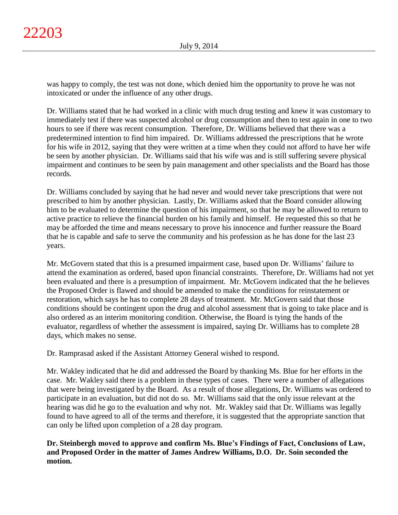was happy to comply, the test was not done, which denied him the opportunity to prove he was not intoxicated or under the influence of any other drugs.

Dr. Williams stated that he had worked in a clinic with much drug testing and knew it was customary to immediately test if there was suspected alcohol or drug consumption and then to test again in one to two hours to see if there was recent consumption. Therefore, Dr. Williams believed that there was a predetermined intention to find him impaired. Dr. Williams addressed the prescriptions that he wrote for his wife in 2012, saying that they were written at a time when they could not afford to have her wife be seen by another physician. Dr. Williams said that his wife was and is still suffering severe physical impairment and continues to be seen by pain management and other specialists and the Board has those records.

Dr. Williams concluded by saying that he had never and would never take prescriptions that were not prescribed to him by another physician. Lastly, Dr. Williams asked that the Board consider allowing him to be evaluated to determine the question of his impairment, so that he may be allowed to return to active practice to relieve the financial burden on his family and himself. He requested this so that he may be afforded the time and means necessary to prove his innocence and further reassure the Board that he is capable and safe to serve the community and his profession as he has done for the last 23 years.

Mr. McGovern stated that this is a presumed impairment case, based upon Dr. Williams' failure to attend the examination as ordered, based upon financial constraints. Therefore, Dr. Williams had not yet been evaluated and there is a presumption of impairment. Mr. McGovern indicated that the he believes the Proposed Order is flawed and should be amended to make the conditions for reinstatement or restoration, which says he has to complete 28 days of treatment. Mr. McGovern said that those conditions should be contingent upon the drug and alcohol assessment that is going to take place and is also ordered as an interim monitoring condition. Otherwise, the Board is tying the hands of the evaluator, regardless of whether the assessment is impaired, saying Dr. Williams has to complete 28 days, which makes no sense.

Dr. Ramprasad asked if the Assistant Attorney General wished to respond.

Mr. Wakley indicated that he did and addressed the Board by thanking Ms. Blue for her efforts in the case. Mr. Wakley said there is a problem in these types of cases. There were a number of allegations that were being investigated by the Board. As a result of those allegations, Dr. Williams was ordered to participate in an evaluation, but did not do so. Mr. Williams said that the only issue relevant at the hearing was did he go to the evaluation and why not. Mr. Wakley said that Dr. Williams was legally found to have agreed to all of the terms and therefore, it is suggested that the appropriate sanction that can only be lifted upon completion of a 28 day program.

# **Dr. Steinbergh moved to approve and confirm Ms. Blue's Findings of Fact, Conclusions of Law, and Proposed Order in the matter of James Andrew Williams, D.O. Dr. Soin seconded the motion.**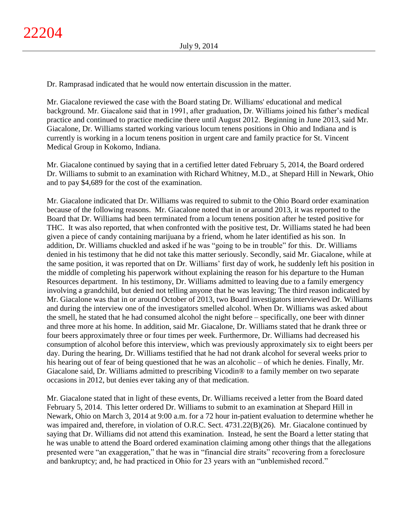Dr. Ramprasad indicated that he would now entertain discussion in the matter.

Mr. Giacalone reviewed the case with the Board stating Dr. Williams' educational and medical background. Mr. Giacalone said that in 1991, after graduation, Dr. Williams joined his father's medical practice and continued to practice medicine there until August 2012. Beginning in June 2013, said Mr. Giacalone, Dr. Williams started working various locum tenens positions in Ohio and Indiana and is currently is working in a locum tenens position in urgent care and family practice for St. Vincent Medical Group in Kokomo, Indiana.

Mr. Giacalone continued by saying that in a certified letter dated February 5, 2014, the Board ordered Dr. Williams to submit to an examination with Richard Whitney, M.D., at Shepard Hill in Newark, Ohio and to pay \$4,689 for the cost of the examination.

Mr. Giacalone indicated that Dr. Williams was required to submit to the Ohio Board order examination because of the following reasons. Mr. Giacalone noted that in or around 2013, it was reported to the Board that Dr. Williams had been terminated from a locum tenens position after he tested positive for THC. It was also reported, that when confronted with the positive test, Dr. Williams stated he had been given a piece of candy containing marijuana by a friend, whom he later identified as his son. In addition, Dr. Williams chuckled and asked if he was "going to be in trouble" for this. Dr. Williams denied in his testimony that he did not take this matter seriously. Secondly, said Mr. Giacalone, while at the same position, it was reported that on Dr. Williams' first day of work, he suddenly left his position in the middle of completing his paperwork without explaining the reason for his departure to the Human Resources department. In his testimony, Dr. Williams admitted to leaving due to a family emergency involving a grandchild, but denied not telling anyone that he was leaving; The third reason indicated by Mr. Giacalone was that in or around October of 2013, two Board investigators interviewed Dr. Williams and during the interview one of the investigators smelled alcohol. When Dr. Williams was asked about the smell, he stated that he had consumed alcohol the night before – specifically, one beer with dinner and three more at his home. In addition, said Mr. Giacalone, Dr. Williams stated that he drank three or four beers approximately three or four times per week. Furthermore, Dr. Williams had decreased his consumption of alcohol before this interview, which was previously approximately six to eight beers per day. During the hearing, Dr. Williams testified that he had not drank alcohol for several weeks prior to his hearing out of fear of being questioned that he was an alcoholic – of which he denies. Finally, Mr. Giacalone said, Dr. Williams admitted to prescribing Vicodin® to a family member on two separate occasions in 2012, but denies ever taking any of that medication.

Mr. Giacalone stated that in light of these events, Dr. Williams received a letter from the Board dated February 5, 2014. This letter ordered Dr. Williams to submit to an examination at Shepard Hill in Newark, Ohio on March 3, 2014 at 9:00 a.m. for a 72 hour in-patient evaluation to determine whether he was impaired and, therefore, in violation of O.R.C. Sect. 4731.22(B)(26). Mr. Giacalone continued by saying that Dr. Williams did not attend this examination. Instead, he sent the Board a letter stating that he was unable to attend the Board ordered examination claiming among other things that the allegations presented were "an exaggeration," that he was in "financial dire straits" recovering from a foreclosure and bankruptcy; and, he had practiced in Ohio for 23 years with an "unblemished record."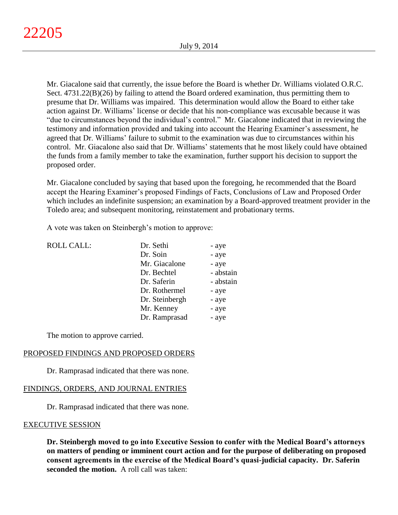Mr. Giacalone said that currently, the issue before the Board is whether Dr. Williams violated O.R.C. Sect. 4731.22(B)(26) by failing to attend the Board ordered examination, thus permitting them to presume that Dr. Williams was impaired. This determination would allow the Board to either take action against Dr. Williams' license or decide that his non-compliance was excusable because it was "due to circumstances beyond the individual's control." Mr. Giacalone indicated that in reviewing the testimony and information provided and taking into account the Hearing Examiner's assessment, he agreed that Dr. Williams' failure to submit to the examination was due to circumstances within his control. Mr. Giacalone also said that Dr. Williams' statements that he most likely could have obtained the funds from a family member to take the examination, further support his decision to support the proposed order.

Mr. Giacalone concluded by saying that based upon the foregoing, he recommended that the Board accept the Hearing Examiner's proposed Findings of Facts, Conclusions of Law and Proposed Order which includes an indefinite suspension; an examination by a Board-approved treatment provider in the Toledo area; and subsequent monitoring, reinstatement and probationary terms.

A vote was taken on Steinbergh's motion to approve:

| <b>ROLL CALL:</b> | Dr. Sethi      | - aye     |
|-------------------|----------------|-----------|
|                   | Dr. Soin       | - aye     |
|                   | Mr. Giacalone  | - aye     |
|                   | Dr. Bechtel    | - abstain |
|                   | Dr. Saferin    | - abstain |
|                   | Dr. Rothermel  | - aye     |
|                   | Dr. Steinbergh | - aye     |
|                   | Mr. Kenney     | - aye     |
|                   | Dr. Ramprasad  | - aye     |
|                   |                |           |

The motion to approve carried.

## PROPOSED FINDINGS AND PROPOSED ORDERS

Dr. Ramprasad indicated that there was none.

## FINDINGS, ORDERS, AND JOURNAL ENTRIES

Dr. Ramprasad indicated that there was none.

## EXECUTIVE SESSION

**Dr. Steinbergh moved to go into Executive Session to confer with the Medical Board's attorneys on matters of pending or imminent court action and for the purpose of deliberating on proposed consent agreements in the exercise of the Medical Board's quasi-judicial capacity. Dr. Saferin seconded the motion.** A roll call was taken: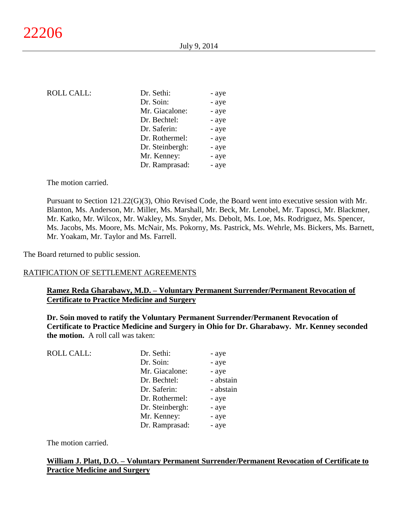| <b>ROLL CALL:</b> | Dr. Sethi:      | - aye |
|-------------------|-----------------|-------|
|                   | Dr. Soin:       | - aye |
|                   | Mr. Giacalone:  | - aye |
|                   | Dr. Bechtel:    | - aye |
|                   | Dr. Saferin:    | - aye |
|                   | Dr. Rothermel:  | - aye |
|                   | Dr. Steinbergh: | - aye |
|                   | Mr. Kenney:     | - aye |
|                   | Dr. Ramprasad:  | - aye |

The motion carried.

Pursuant to Section 121.22(G)(3), Ohio Revised Code, the Board went into executive session with Mr. Blanton, Ms. Anderson, Mr. Miller, Ms. Marshall, Mr. Beck, Mr. Lenobel, Mr. Taposci, Mr. Blackmer, Mr. Katko, Mr. Wilcox, Mr. Wakley, Ms. Snyder, Ms. Debolt, Ms. Loe, Ms. Rodriguez, Ms. Spencer, Ms. Jacobs, Ms. Moore, Ms. McNair, Ms. Pokorny, Ms. Pastrick, Ms. Wehrle, Ms. Bickers, Ms. Barnett, Mr. Yoakam, Mr. Taylor and Ms. Farrell.

The Board returned to public session.

#### RATIFICATION OF SETTLEMENT AGREEMENTS

# **Ramez Reda Gharabawy, M.D. – Voluntary Permanent Surrender/Permanent Revocation of Certificate to Practice Medicine and Surgery**

**Dr. Soin moved to ratify the Voluntary Permanent Surrender/Permanent Revocation of Certificate to Practice Medicine and Surgery in Ohio for Dr. Gharabawy. Mr. Kenney seconded the motion.** A roll call was taken:

| <b>ROLL CALL:</b> | Dr. Sethi:      | - aye     |
|-------------------|-----------------|-----------|
|                   | Dr. Soin:       | - aye     |
|                   | Mr. Giacalone:  | - aye     |
|                   | Dr. Bechtel:    | - abstain |
|                   | Dr. Saferin:    | - abstain |
|                   | Dr. Rothermel:  | - aye     |
|                   | Dr. Steinbergh: | - aye     |
|                   | Mr. Kenney:     | - aye     |
|                   | Dr. Ramprasad:  | - aye     |

The motion carried.

## **William J. Platt, D.O. – Voluntary Permanent Surrender/Permanent Revocation of Certificate to Practice Medicine and Surgery**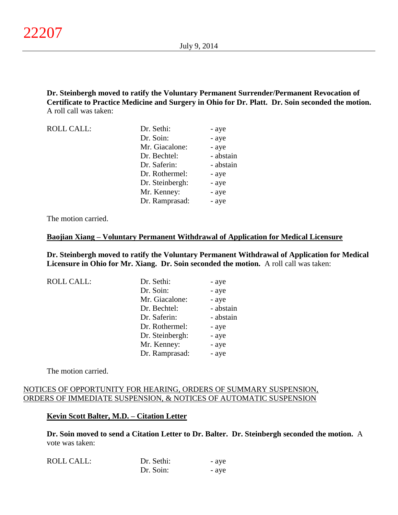**Dr. Steinbergh moved to ratify the Voluntary Permanent Surrender/Permanent Revocation of Certificate to Practice Medicine and Surgery in Ohio for Dr. Platt. Dr. Soin seconded the motion.** A roll call was taken:

| <b>ROLL CALL:</b> | Dr. Sethi:      | - aye     |
|-------------------|-----------------|-----------|
|                   | Dr. Soin:       | - aye     |
|                   | Mr. Giacalone:  | - aye     |
|                   | Dr. Bechtel:    | - abstain |
|                   | Dr. Saferin:    | - abstain |
|                   | Dr. Rothermel:  | - aye     |
|                   | Dr. Steinbergh: | - aye     |
|                   | Mr. Kenney:     | - aye     |
|                   | Dr. Ramprasad:  | - aye     |

The motion carried.

#### **Baojian Xiang – Voluntary Permanent Withdrawal of Application for Medical Licensure**

**Dr. Steinbergh moved to ratify the Voluntary Permanent Withdrawal of Application for Medical Licensure in Ohio for Mr. Xiang. Dr. Soin seconded the motion.** A roll call was taken:

| <b>ROLL CALL:</b> | Dr. Sethi:      | - aye     |
|-------------------|-----------------|-----------|
|                   | Dr. Soin:       | - aye     |
|                   | Mr. Giacalone:  | - aye     |
|                   | Dr. Bechtel:    | - abstain |
|                   | Dr. Saferin:    | - abstain |
|                   | Dr. Rothermel:  | - aye     |
|                   | Dr. Steinbergh: | - aye     |
|                   | Mr. Kenney:     | - aye     |
|                   | Dr. Ramprasad:  | - aye     |

The motion carried.

## NOTICES OF OPPORTUNITY FOR HEARING, ORDERS OF SUMMARY SUSPENSION, ORDERS OF IMMEDIATE SUSPENSION, & NOTICES OF AUTOMATIC SUSPENSION

#### **Kevin Scott Balter, M.D. – Citation Letter**

**Dr. Soin moved to send a Citation Letter to Dr. Balter. Dr. Steinbergh seconded the motion.** A vote was taken:

| <b>ROLL CALL:</b> | Dr. Sethi: | - ave |
|-------------------|------------|-------|
|                   | Dr. Soin:  | - ave |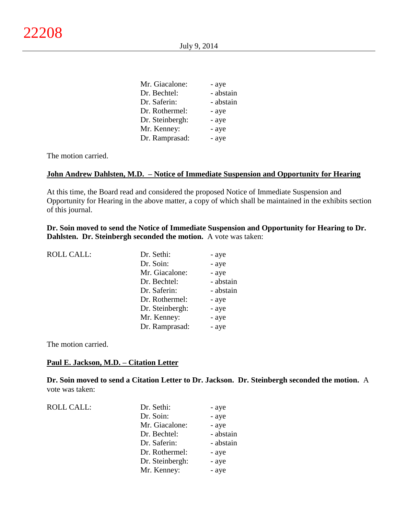| Mr. Giacalone:  | - aye     |
|-----------------|-----------|
| Dr. Bechtel:    | - abstain |
| Dr. Saferin:    | - abstain |
| Dr. Rothermel:  | - aye     |
| Dr. Steinbergh: | - aye     |
| Mr. Kenney:     | - aye     |
| Dr. Ramprasad:  | - aye     |
|                 |           |

The motion carried.

#### **John Andrew Dahlsten, M.D. – Notice of Immediate Suspension and Opportunity for Hearing**

At this time, the Board read and considered the proposed Notice of Immediate Suspension and Opportunity for Hearing in the above matter, a copy of which shall be maintained in the exhibits section of this journal.

**Dr. Soin moved to send the Notice of Immediate Suspension and Opportunity for Hearing to Dr. Dahlsten. Dr. Steinbergh seconded the motion.** A vote was taken:

| <b>ROLL CALL:</b> | Dr. Sethi:      | - aye     |
|-------------------|-----------------|-----------|
|                   | Dr. Soin:       | - aye     |
|                   | Mr. Giacalone:  | - aye     |
|                   | Dr. Bechtel:    | - abstain |
|                   | Dr. Saferin:    | - abstain |
|                   | Dr. Rothermel:  | - aye     |
|                   | Dr. Steinbergh: | - aye     |
|                   | Mr. Kenney:     | - aye     |
|                   | Dr. Ramprasad:  | - aye     |
|                   |                 |           |

The motion carried.

#### **Paul E. Jackson, M.D. – Citation Letter**

**Dr. Soin moved to send a Citation Letter to Dr. Jackson. Dr. Steinbergh seconded the motion.** A vote was taken:

| <b>ROLL CALL:</b> | Dr. Sethi:      | - aye     |
|-------------------|-----------------|-----------|
|                   | Dr. Soin:       | - aye     |
|                   | Mr. Giacalone:  | - aye     |
|                   | Dr. Bechtel:    | - abstain |
|                   | Dr. Saferin:    | - abstain |
|                   | Dr. Rothermel:  | - aye     |
|                   | Dr. Steinbergh: | - aye     |
|                   | Mr. Kenney:     | - aye     |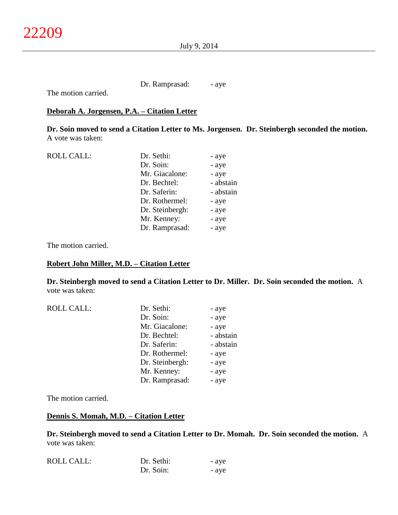Dr. Ramprasad: - aye

The motion carried.

## **Deborah A. Jorgensen, P.A. – Citation Letter**

**Dr. Soin moved to send a Citation Letter to Ms. Jorgensen. Dr. Steinbergh seconded the motion.** A vote was taken:

| <b>ROLL CALL:</b> | Dr. Sethi:      | - aye     |
|-------------------|-----------------|-----------|
|                   | Dr. Soin:       | - aye     |
|                   | Mr. Giacalone:  | - aye     |
|                   | Dr. Bechtel:    | - abstain |
|                   | Dr. Saferin:    | - abstain |
|                   | Dr. Rothermel:  | - aye     |
|                   | Dr. Steinbergh: | - aye     |
|                   | Mr. Kenney:     | - aye     |
|                   | Dr. Ramprasad:  | - aye     |
|                   |                 |           |

The motion carried.

#### **Robert John Miller, M.D. – Citation Letter**

**Dr. Steinbergh moved to send a Citation Letter to Dr. Miller. Dr. Soin seconded the motion.** A vote was taken:

| <b>ROLL CALL:</b> | Dr. Sethi:      | - aye     |
|-------------------|-----------------|-----------|
|                   | Dr. Soin:       | - aye     |
|                   | Mr. Giacalone:  | - aye     |
|                   | Dr. Bechtel:    | - abstain |
|                   | Dr. Saferin:    | - abstain |
|                   | Dr. Rothermel:  | - aye     |
|                   | Dr. Steinbergh: | - aye     |
|                   | Mr. Kenney:     | - aye     |
|                   | Dr. Ramprasad:  | - aye     |

The motion carried.

## **Dennis S. Momah, M.D. – Citation Letter**

**Dr. Steinbergh moved to send a Citation Letter to Dr. Momah. Dr. Soin seconded the motion.** A vote was taken:

| <b>ROLL CALL:</b> | Dr. Sethi: | - aye |
|-------------------|------------|-------|
|                   | Dr. Soin:  | - ave |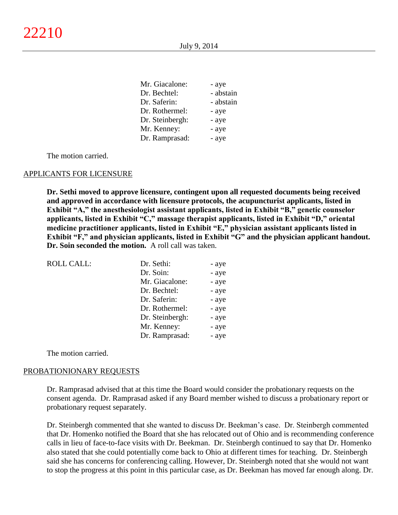| Mr. Giacalone:  | - aye     |
|-----------------|-----------|
| Dr. Bechtel:    | - abstain |
| Dr. Saferin:    | - abstain |
| Dr. Rothermel:  | - aye     |
| Dr. Steinbergh: | - aye     |
| Mr. Kenney:     | - aye     |
| Dr. Ramprasad:  | - aye     |

The motion carried.

#### APPLICANTS FOR LICENSURE

**Dr. Sethi moved to approve licensure, contingent upon all requested documents being received and approved in accordance with licensure protocols, the acupuncturist applicants, listed in Exhibit "A," the anesthesiologist assistant applicants, listed in Exhibit "B," genetic counselor applicants, listed in Exhibit "C," massage therapist applicants, listed in Exhibit "D," oriental medicine practitioner applicants, listed in Exhibit "E," physician assistant applicants listed in Exhibit "F," and physician applicants, listed in Exhibit "G" and the physician applicant handout. Dr. Soin seconded the motion.** A roll call was taken.

| <b>ROLL CALL:</b> | Dr. Sethi:      | - aye |
|-------------------|-----------------|-------|
|                   | Dr. Soin:       | - aye |
|                   | Mr. Giacalone:  | - aye |
|                   | Dr. Bechtel:    | - aye |
|                   | Dr. Saferin:    | - aye |
|                   | Dr. Rothermel:  | - aye |
|                   | Dr. Steinbergh: | - aye |
|                   | Mr. Kenney:     | - aye |
|                   | Dr. Ramprasad:  | - aye |

The motion carried.

#### PROBATIONIONARY REQUESTS

Dr. Ramprasad advised that at this time the Board would consider the probationary requests on the consent agenda. Dr. Ramprasad asked if any Board member wished to discuss a probationary report or probationary request separately.

Dr. Steinbergh commented that she wanted to discuss Dr. Beekman's case. Dr. Steinbergh commented that Dr. Homenko notified the Board that she has relocated out of Ohio and is recommending conference calls in lieu of face-to-face visits with Dr. Beekman. Dr. Steinbergh continued to say that Dr. Homenko also stated that she could potentially come back to Ohio at different times for teaching. Dr. Steinbergh said she has concerns for conferencing calling. However, Dr. Steinbergh noted that she would not want to stop the progress at this point in this particular case, as Dr. Beekman has moved far enough along. Dr.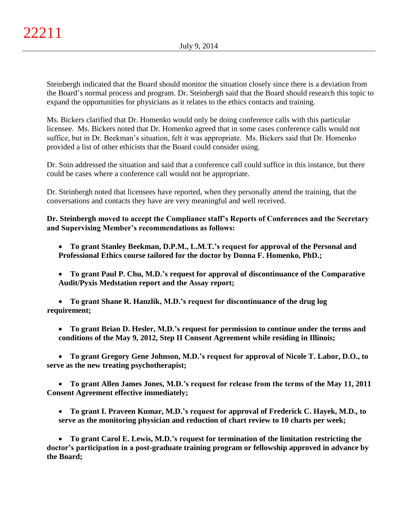Steinbergh indicated that the Board should monitor the situation closely since there is a deviation from the Board's normal process and program. Dr. Steinbergh said that the Board should research this topic to expand the opportunities for physicians as it relates to the ethics contacts and training.

Ms. Bickers clarified that Dr. Homenko would only be doing conference calls with this particular licensee. Ms. Bickers noted that Dr. Homenko agreed that in some cases conference calls would not suffice, but in Dr. Beekman's situation, felt it was appropriate. Ms. Bickers said that Dr. Homenko provided a list of other ethicists that the Board could consider using.

Dr. Soin addressed the situation and said that a conference call could suffice in this instance, but there could be cases where a conference call would not be appropriate.

Dr. Steinbergh noted that licensees have reported, when they personally attend the training, that the conversations and contacts they have are very meaningful and well received.

**Dr. Steinbergh moved to accept the Compliance staff's Reports of Conferences and the Secretary and Supervising Member's recommendations as follows:** 

- **To grant Stanley Beekman, D.P.M., L.M.T.'s request for approval of the Personal and Professional Ethics course tailored for the doctor by Donna F. Homenko, PhD.;**
- **To grant Paul P. Chu, M.D.'s request for approval of discontinuance of the Comparative Audit/Pyxis Medstation report and the Assay report;**

 **To grant Shane R. Hanzlik, M.D.'s request for discontinuance of the drug log requirement;** 

 **To grant Brian D. Hesler, M.D.'s request for permission to continue under the terms and conditions of the May 9, 2012, Step II Consent Agreement while residing in Illinois;** 

 **To grant Gregory Gene Johnson, M.D.'s request for approval of Nicole T. Labor, D.O., to serve as the new treating psychotherapist;**

 **To grant Allen James Jones, M.D.'s request for release from the terms of the May 11, 2011 Consent Agreement effective immediately;**

 **To grant I. Praveen Kumar, M.D.'s request for approval of Frederick C. Hayek, M.D., to serve as the monitoring physician and reduction of chart review to 10 charts per week;**

 **To grant Carol E. Lewis, M.D.'s request for termination of the limitation restricting the doctor's participation in a post-graduate training program or fellowship approved in advance by the Board;**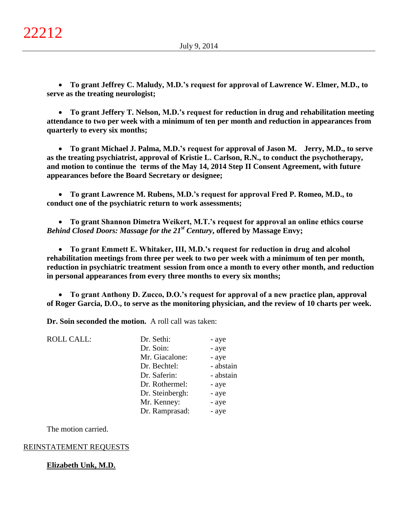**To grant Jeffrey C. Maludy, M.D.'s request for approval of Lawrence W. Elmer, M.D., to serve as the treating neurologist;**

 **To grant Jeffery T. Nelson, M.D.'s request for reduction in drug and rehabilitation meeting attendance to two per week with a minimum of ten per month and reduction in appearances from quarterly to every six months;**

 **To grant Michael J. Palma, M.D.'s request for approval of Jason M. Jerry, M.D., to serve as the treating psychiatrist, approval of Kristie L. Carlson, R.N., to conduct the psychotherapy, and motion to continue the terms of the May 14, 2014 Step II Consent Agreement, with future appearances before the Board Secretary or designee;** 

 **To grant Lawrence M. Rubens, M.D.'s request for approval Fred P. Romeo, M.D., to conduct one of the psychiatric return to work assessments;**

 **To grant Shannon Dimetra Weikert, M.T.'s request for approval an online ethics course**  *Behind Closed Doors: Massage for the 21st Century***, offered by Massage Envy;**

 **To grant Emmett E. Whitaker, III, M.D.'s request for reduction in drug and alcohol rehabilitation meetings from three per week to two per week with a minimum of ten per month, reduction in psychiatric treatment session from once a month to every other month, and reduction in personal appearances from every three months to every six months;** 

 **To grant Anthony D. Zucco, D.O.'s request for approval of a new practice plan, approval of Roger Garcia, D.O., to serve as the monitoring physician, and the review of 10 charts per week.**

**Dr. Soin seconded the motion.** A roll call was taken:

| <b>ROLL CALL:</b> | Dr. Sethi:      | - aye     |
|-------------------|-----------------|-----------|
|                   | Dr. Soin:       | - aye     |
|                   | Mr. Giacalone:  | - aye     |
|                   | Dr. Bechtel:    | - abstain |
|                   | Dr. Saferin:    | - abstain |
|                   | Dr. Rothermel:  | - aye     |
|                   | Dr. Steinbergh: | - aye     |
|                   | Mr. Kenney:     | - aye     |
|                   | Dr. Ramprasad:  | - aye     |

The motion carried.

# REINSTATEMENT REQUESTS

# **Elizabeth Unk, M.D.**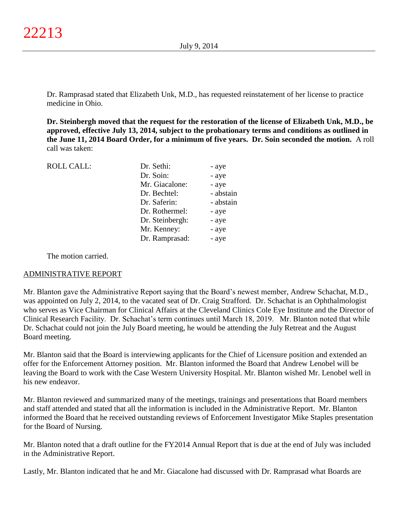Dr. Ramprasad stated that Elizabeth Unk, M.D., has requested reinstatement of her license to practice medicine in Ohio.

**Dr. Steinbergh moved that the request for the restoration of the license of Elizabeth Unk, M.D., be approved, effective July 13, 2014, subject to the probationary terms and conditions as outlined in the June 11, 2014 Board Order, for a minimum of five years. Dr. Soin seconded the motion.** A roll call was taken:

| Dr. Sethi:      | - aye     |
|-----------------|-----------|
| Dr. Soin:       | - aye     |
| Mr. Giacalone:  | - aye     |
| Dr. Bechtel:    | - abstain |
| Dr. Saferin:    | - abstain |
| Dr. Rothermel:  | - aye     |
| Dr. Steinbergh: | - aye     |
| Mr. Kenney:     | - aye     |
| Dr. Ramprasad:  | - aye     |
|                 |           |

The motion carried.

## ADMINISTRATIVE REPORT

Mr. Blanton gave the Administrative Report saying that the Board's newest member, Andrew Schachat, M.D., was appointed on July 2, 2014, to the vacated seat of Dr. Craig Strafford. Dr. Schachat is an Ophthalmologist who serves as Vice Chairman for Clinical Affairs at the Cleveland Clinics Cole Eye Institute and the Director of Clinical Research Facility. Dr. Schachat's term continues until March 18, 2019. Mr. Blanton noted that while Dr. Schachat could not join the July Board meeting, he would be attending the July Retreat and the August Board meeting.

Mr. Blanton said that the Board is interviewing applicants for the Chief of Licensure position and extended an offer for the Enforcement Attorney position. Mr. Blanton informed the Board that Andrew Lenobel will be leaving the Board to work with the Case Western University Hospital. Mr. Blanton wished Mr. Lenobel well in his new endeavor.

Mr. Blanton reviewed and summarized many of the meetings, trainings and presentations that Board members and staff attended and stated that all the information is included in the Administrative Report. Mr. Blanton informed the Board that he received outstanding reviews of Enforcement Investigator Mike Staples presentation for the Board of Nursing.

Mr. Blanton noted that a draft outline for the FY2014 Annual Report that is due at the end of July was included in the Administrative Report.

Lastly, Mr. Blanton indicated that he and Mr. Giacalone had discussed with Dr. Ramprasad what Boards are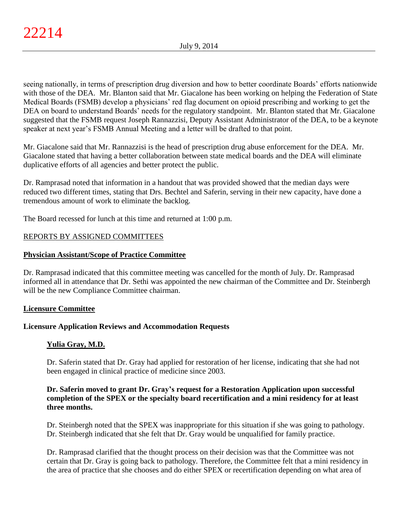seeing nationally, in terms of prescription drug diversion and how to better coordinate Boards' efforts nationwide with those of the DEA. Mr. Blanton said that Mr. Giacalone has been working on helping the Federation of State Medical Boards (FSMB) develop a physicians' red flag document on opioid prescribing and working to get the DEA on board to understand Boards' needs for the regulatory standpoint. Mr. Blanton stated that Mr. Giacalone suggested that the FSMB request Joseph Rannazzisi, Deputy Assistant Administrator of the DEA, to be a keynote speaker at next year's FSMB Annual Meeting and a letter will be drafted to that point.

Mr. Giacalone said that Mr. Rannazzisi is the head of prescription drug abuse enforcement for the DEA. Mr. Giacalone stated that having a better collaboration between state medical boards and the DEA will eliminate duplicative efforts of all agencies and better protect the public.

Dr. Ramprasad noted that information in a handout that was provided showed that the median days were reduced two different times, stating that Drs. Bechtel and Saferin, serving in their new capacity, have done a tremendous amount of work to eliminate the backlog.

The Board recessed for lunch at this time and returned at 1:00 p.m.

# REPORTS BY ASSIGNED COMMITTEES

# **Physician Assistant/Scope of Practice Committee**

Dr. Ramprasad indicated that this committee meeting was cancelled for the month of July. Dr. Ramprasad informed all in attendance that Dr. Sethi was appointed the new chairman of the Committee and Dr. Steinbergh will be the new Compliance Committee chairman.

## **Licensure Committee**

# **Licensure Application Reviews and Accommodation Requests**

# **Yulia Gray, M.D.**

Dr. Saferin stated that Dr. Gray had applied for restoration of her license, indicating that she had not been engaged in clinical practice of medicine since 2003.

# **Dr. Saferin moved to grant Dr. Gray's request for a Restoration Application upon successful completion of the SPEX or the specialty board recertification and a mini residency for at least three months.**

Dr. Steinbergh noted that the SPEX was inappropriate for this situation if she was going to pathology. Dr. Steinbergh indicated that she felt that Dr. Gray would be unqualified for family practice.

Dr. Ramprasad clarified that the thought process on their decision was that the Committee was not certain that Dr. Gray is going back to pathology. Therefore, the Committee felt that a mini residency in the area of practice that she chooses and do either SPEX or recertification depending on what area of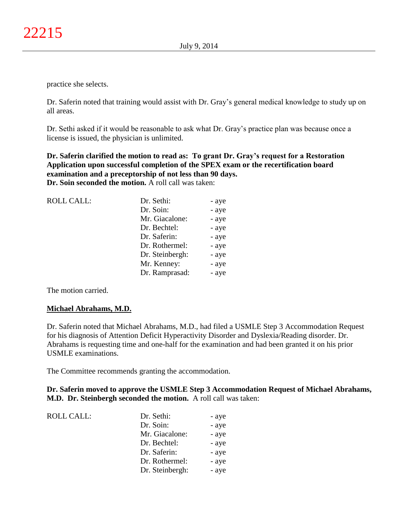practice she selects.

Dr. Saferin noted that training would assist with Dr. Gray's general medical knowledge to study up on all areas.

Dr. Sethi asked if it would be reasonable to ask what Dr. Gray's practice plan was because once a license is issued, the physician is unlimited.

**Dr. Saferin clarified the motion to read as: To grant Dr. Gray's request for a Restoration Application upon successful completion of the SPEX exam or the recertification board examination and a preceptorship of not less than 90 days. Dr. Soin seconded the motion.** A roll call was taken:

| <b>ROLL CALL:</b> | Dr. Sethi:      | - aye |
|-------------------|-----------------|-------|
|                   | Dr. Soin:       | - aye |
|                   | Mr. Giacalone:  | - aye |
|                   | Dr. Bechtel:    | - aye |
|                   | Dr. Saferin:    | - aye |
|                   | Dr. Rothermel:  | - aye |
|                   | Dr. Steinbergh: | - aye |
|                   | Mr. Kenney:     | - aye |
|                   | Dr. Ramprasad:  | - aye |

The motion carried.

## **Michael Abrahams, M.D.**

Dr. Saferin noted that Michael Abrahams, M.D., had filed a USMLE Step 3 Accommodation Request for his diagnosis of Attention Deficit Hyperactivity Disorder and Dyslexia/Reading disorder. Dr. Abrahams is requesting time and one-half for the examination and had been granted it on his prior USMLE examinations.

The Committee recommends granting the accommodation.

**Dr. Saferin moved to approve the USMLE Step 3 Accommodation Request of Michael Abrahams, M.D. Dr. Steinbergh seconded the motion.** A roll call was taken:

| <b>ROLL CALL:</b> | Dr. Sethi:      | - aye |
|-------------------|-----------------|-------|
|                   | Dr. Soin:       | - aye |
|                   | Mr. Giacalone:  | - aye |
|                   | Dr. Bechtel:    | - aye |
|                   | Dr. Saferin:    | - aye |
|                   | Dr. Rothermel:  | - aye |
|                   | Dr. Steinbergh: | - aye |
|                   |                 |       |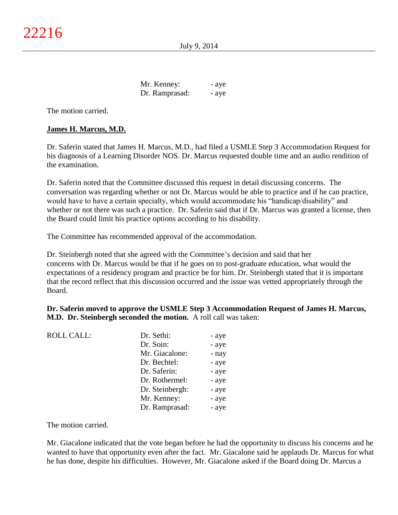Mr. Kenney:  $-$  aye Dr. Ramprasad: - aye

The motion carried.

# **James H. Marcus, M.D.**

Dr. Saferin stated that James H. Marcus, M.D., had filed a USMLE Step 3 Accommodation Request for his diagnosis of a Learning Disorder NOS. Dr. Marcus requested double time and an audio rendition of the examination.

Dr. Saferin noted that the Committee discussed this request in detail discussing concerns. The conversation was regarding whether or not Dr. Marcus would be able to practice and if he can practice, would have to have a certain specialty, which would accommodate his "handicap/disability" and whether or not there was such a practice. Dr. Saferin said that if Dr. Marcus was granted a license, then the Board could limit his practice options according to his disability.

The Committee has recommended approval of the accommodation.

Dr. Steinbergh noted that she agreed with the Committee's decision and said that her concerns with Dr. Marcus would be that if he goes on to post-graduate education, what would the expectations of a residency program and practice be for him. Dr. Steinbergh stated that it is important that the record reflect that this discussion occurred and the issue was vetted appropriately through the Board.

**Dr. Saferin moved to approve the USMLE Step 3 Accommodation Request of James H. Marcus, M.D. Dr. Steinbergh seconded the motion.** A roll call was taken:

| <b>ROLL CALL:</b> | Dr. Sethi:      | - aye |
|-------------------|-----------------|-------|
|                   | Dr. Soin:       | - aye |
|                   | Mr. Giacalone:  | - nay |
|                   | Dr. Bechtel:    | - aye |
|                   | Dr. Saferin:    | - aye |
|                   | Dr. Rothermel:  | - aye |
|                   | Dr. Steinbergh: | - aye |
|                   | Mr. Kenney:     | - aye |
|                   | Dr. Ramprasad:  | - aye |

The motion carried.

Mr. Giacalone indicated that the vote began before he had the opportunity to discuss his concerns and he wanted to have that opportunity even after the fact. Mr. Giacalone said he applauds Dr. Marcus for what he has done, despite his difficulties. However, Mr. Giacalone asked if the Board doing Dr. Marcus a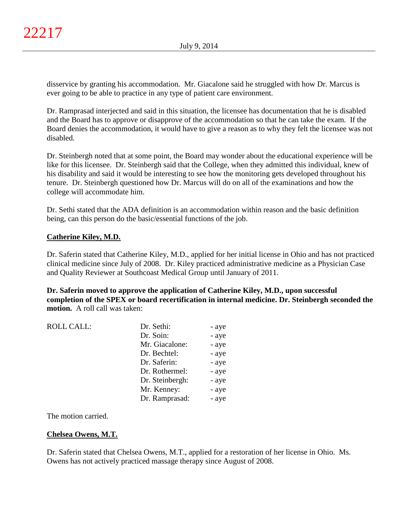disservice by granting his accommodation. Mr. Giacalone said he struggled with how Dr. Marcus is ever going to be able to practice in any type of patient care environment.

Dr. Ramprasad interjected and said in this situation, the licensee has documentation that he is disabled and the Board has to approve or disapprove of the accommodation so that he can take the exam. If the Board denies the accommodation, it would have to give a reason as to why they felt the licensee was not disabled.

Dr. Steinbergh noted that at some point, the Board may wonder about the educational experience will be like for this licensee. Dr. Steinbergh said that the College, when they admitted this individual, knew of his disability and said it would be interesting to see how the monitoring gets developed throughout his tenure. Dr. Steinbergh questioned how Dr. Marcus will do on all of the examinations and how the college will accommodate him.

Dr. Sethi stated that the ADA definition is an accommodation within reason and the basic definition being, can this person do the basic/essential functions of the job.

# **Catherine Kiley, M.D.**

Dr. Saferin stated that Catherine Kiley, M.D., applied for her initial license in Ohio and has not practiced clinical medicine since July of 2008. Dr. Kiley practiced administrative medicine as a Physician Case and Quality Reviewer at Southcoast Medical Group until January of 2011.

**Dr. Saferin moved to approve the application of Catherine Kiley, M.D., upon successful completion of the SPEX or board recertification in internal medicine. Dr. Steinbergh seconded the motion.** A roll call was taken:

|  | <b>ROLL CALL:</b> | Dr. Sethi:      | - aye |
|--|-------------------|-----------------|-------|
|  |                   | Dr. Soin:       | - aye |
|  |                   | Mr. Giacalone:  | - aye |
|  |                   | Dr. Bechtel:    | - aye |
|  |                   | Dr. Saferin:    | - aye |
|  |                   | Dr. Rothermel:  | - aye |
|  |                   | Dr. Steinbergh: | - aye |
|  |                   | Mr. Kenney:     | - aye |
|  |                   | Dr. Ramprasad:  | - aye |
|  |                   |                 |       |

The motion carried.

# **Chelsea Owens, M.T.**

Dr. Saferin stated that Chelsea Owens, M.T., applied for a restoration of her license in Ohio. Ms. Owens has not actively practiced massage therapy since August of 2008.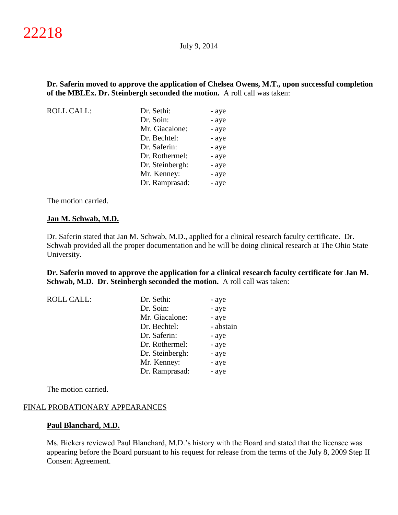## **Dr. Saferin moved to approve the application of Chelsea Owens, M.T., upon successful completion of the MBLEx. Dr. Steinbergh seconded the motion.** A roll call was taken:

| <b>ROLL CALL:</b> | Dr. Sethi:      | - aye |
|-------------------|-----------------|-------|
|                   | Dr. Soin:       | - aye |
|                   | Mr. Giacalone:  | - aye |
|                   | Dr. Bechtel:    | - aye |
|                   | Dr. Saferin:    | - aye |
|                   | Dr. Rothermel:  | - aye |
|                   | Dr. Steinbergh: | - aye |
|                   | Mr. Kenney:     | - aye |
|                   | Dr. Ramprasad:  | - aye |

The motion carried.

#### **Jan M. Schwab, M.D.**

Dr. Saferin stated that Jan M. Schwab, M.D., applied for a clinical research faculty certificate. Dr. Schwab provided all the proper documentation and he will be doing clinical research at The Ohio State University.

#### **Dr. Saferin moved to approve the application for a clinical research faculty certificate for Jan M. Schwab, M.D. Dr. Steinbergh seconded the motion.** A roll call was taken:

| <b>ROLL CALL:</b> | Dr. Sethi:      | - aye     |
|-------------------|-----------------|-----------|
|                   | Dr. Soin:       | - aye     |
|                   | Mr. Giacalone:  | - aye     |
|                   | Dr. Bechtel:    | - abstain |
|                   | Dr. Saferin:    | - aye     |
|                   | Dr. Rothermel:  | - aye     |
|                   | Dr. Steinbergh: | - aye     |
|                   | Mr. Kenney:     | - aye     |
|                   | Dr. Ramprasad:  | - aye     |

The motion carried.

#### FINAL PROBATIONARY APPEARANCES

#### **Paul Blanchard, M.D.**

Ms. Bickers reviewed Paul Blanchard, M.D.'s history with the Board and stated that the licensee was appearing before the Board pursuant to his request for release from the terms of the July 8, 2009 Step II Consent Agreement.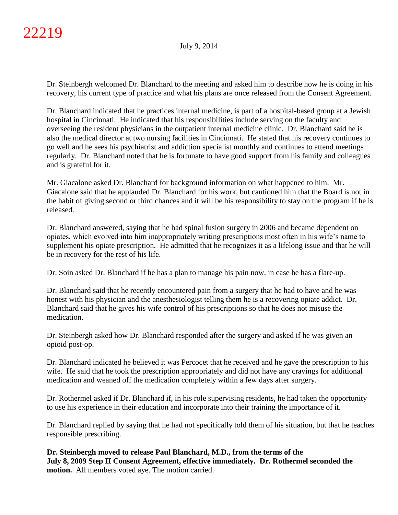Dr. Steinbergh welcomed Dr. Blanchard to the meeting and asked him to describe how he is doing in his recovery, his current type of practice and what his plans are once released from the Consent Agreement.

Dr. Blanchard indicated that he practices internal medicine, is part of a hospital-based group at a Jewish hospital in Cincinnati. He indicated that his responsibilities include serving on the faculty and overseeing the resident physicians in the outpatient internal medicine clinic. Dr. Blanchard said he is also the medical director at two nursing facilities in Cincinnati. He stated that his recovery continues to go well and he sees his psychiatrist and addiction specialist monthly and continues to attend meetings regularly. Dr. Blanchard noted that he is fortunate to have good support from his family and colleagues and is grateful for it.

Mr. Giacalone asked Dr. Blanchard for background information on what happened to him. Mr. Giacalone said that he applauded Dr. Blanchard for his work, but cautioned him that the Board is not in the habit of giving second or third chances and it will be his responsibility to stay on the program if he is released.

Dr. Blanchard answered, saying that he had spinal fusion surgery in 2006 and became dependent on opiates, which evolved into him inappropriately writing prescriptions most often in his wife's name to supplement his opiate prescription. He admitted that he recognizes it as a lifelong issue and that he will be in recovery for the rest of his life.

Dr. Soin asked Dr. Blanchard if he has a plan to manage his pain now, in case he has a flare-up.

Dr. Blanchard said that he recently encountered pain from a surgery that he had to have and he was honest with his physician and the anesthesiologist telling them he is a recovering opiate addict. Dr. Blanchard said that he gives his wife control of his prescriptions so that he does not misuse the medication.

Dr. Steinbergh asked how Dr. Blanchard responded after the surgery and asked if he was given an opioid post-op.

Dr. Blanchard indicated he believed it was Percocet that he received and he gave the prescription to his wife. He said that he took the prescription appropriately and did not have any cravings for additional medication and weaned off the medication completely within a few days after surgery.

Dr. Rothermel asked if Dr. Blanchard if, in his role supervising residents, he had taken the opportunity to use his experience in their education and incorporate into their training the importance of it.

Dr. Blanchard replied by saying that he had not specifically told them of his situation, but that he teaches responsible prescribing.

**Dr. Steinbergh moved to release Paul Blanchard, M.D., from the terms of the July 8, 2009 Step II Consent Agreement, effective immediately. Dr. Rothermel seconded the motion.** All members voted aye. The motion carried.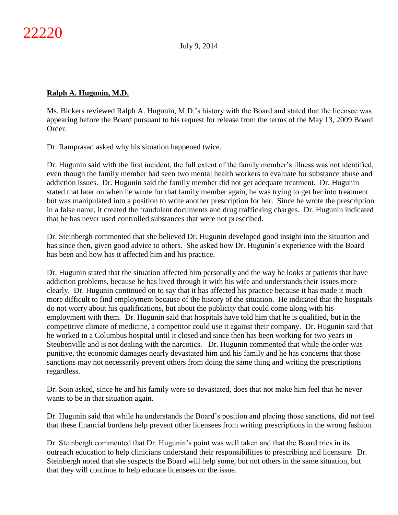# **Ralph A. Hugunin, M.D.**

Ms. Bickers reviewed Ralph A. Hugunin, M.D.'s history with the Board and stated that the licensee was appearing before the Board pursuant to his request for release from the terms of the May 13, 2009 Board Order.

Dr. Ramprasad asked why his situation happened twice.

Dr. Hugunin said with the first incident, the full extent of the family member's illness was not identified, even though the family member had seen two mental health workers to evaluate for substance abuse and addiction issues. Dr. Hugunin said the family member did not get adequate treatment. Dr. Hugunin stated that later on when he wrote for that family member again, he was trying to get her into treatment but was manipulated into a position to write another prescription for her. Since he wrote the prescription in a false name, it created the fraudulent documents and drug trafficking charges. Dr. Hugunin indicated that he has never used controlled substances that were not prescribed.

Dr. Steinbergh commented that she believed Dr. Hugunin developed good insight into the situation and has since then, given good advice to others. She asked how Dr. Hugunin's experience with the Board has been and how has it affected him and his practice.

Dr. Hugunin stated that the situation affected him personally and the way he looks at patients that have addiction problems, because he has lived through it with his wife and understands their issues more clearly. Dr. Hugunin continued on to say that it has affected his practice because it has made it much more difficult to find employment because of the history of the situation. He indicated that the hospitals do not worry about his qualifications, but about the publicity that could come along with his employment with them. Dr. Hugunin said that hospitals have told him that he is qualified, but in the competitive climate of medicine, a competitor could use it against their company. Dr. Hugunin said that he worked in a Columbus hospital until it closed and since then has been working for two years in Steubenville and is not dealing with the narcotics. Dr. Hugunin commented that while the order was punitive, the economic damages nearly devastated him and his family and he has concerns that those sanctions may not necessarily prevent others from doing the same thing and writing the prescriptions regardless.

Dr. Soin asked, since he and his family were so devastated, does that not make him feel that he never wants to be in that situation again.

Dr. Hugunin said that while he understands the Board's position and placing those sanctions, did not feel that these financial burdens help prevent other licensees from writing prescriptions in the wrong fashion.

Dr. Steinbergh commented that Dr. Hugunin's point was well taken and that the Board tries in its outreach education to help clinicians understand their responsibilities to prescribing and licensure. Dr. Steinbergh noted that she suspects the Board will help some, but not others in the same situation, but that they will continue to help educate licensees on the issue.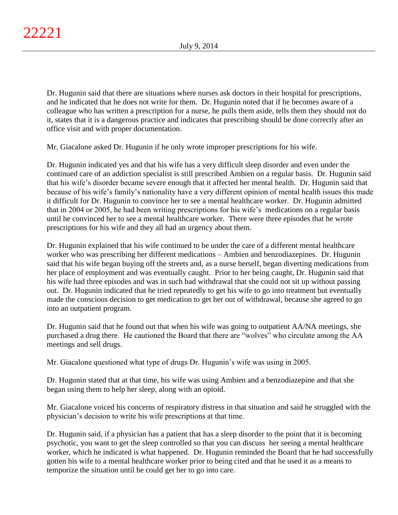Dr. Hugunin said that there are situations where nurses ask doctors in their hospital for prescriptions, and he indicated that he does not write for them. Dr. Hugunin noted that if he becomes aware of a colleague who has written a prescription for a nurse, he pulls them aside, tells them they should not do it, states that it is a dangerous practice and indicates that prescribing should be done correctly after an office visit and with proper documentation.

Mr. Giacalone asked Dr. Hugunin if he only wrote improper prescriptions for his wife.

Dr. Hugunin indicated yes and that his wife has a very difficult sleep disorder and even under the continued care of an addiction specialist is still prescribed Ambien on a regular basis. Dr. Hugunin said that his wife's disorder became severe enough that it affected her mental health. Dr. Hugunin said that because of his wife's family's nationality have a very different opinion of mental health issues this made it difficult for Dr. Hugunin to convince her to see a mental healthcare worker. Dr. Hugunin admitted that in 2004 or 2005, he had been writing prescriptions for his wife's medications on a regular basis until he convinced her to see a mental healthcare worker. There were three episodes that he wrote prescriptions for his wife and they all had an urgency about them.

Dr. Hugunin explained that his wife continued to be under the care of a different mental healthcare worker who was prescribing her different medications – Ambien and benzodiazepines. Dr. Hugunin said that his wife began buying off the streets and, as a nurse herself, began diverting medications from her place of employment and was eventually caught. Prior to her being caught, Dr. Hugunin said that his wife had three episodes and was in such bad withdrawal that she could not sit up without passing out. Dr. Hugunin indicated that he tried repeatedly to get his wife to go into treatment but eventually made the conscious decision to get medication to get her out of withdrawal, because she agreed to go into an outpatient program.

Dr. Hugunin said that he found out that when his wife was going to outpatient AA/NA meetings, she purchased a drug there. He cautioned the Board that there are "wolves" who circulate among the AA meetings and sell drugs.

Mr. Giacalone questioned what type of drugs Dr. Hugunin's wife was using in 2005.

Dr. Hugunin stated that at that time, his wife was using Ambien and a benzodiazepine and that she began using them to help her sleep, along with an opioid.

Mr. Giacalone voiced his concerns of respiratory distress in that situation and said he struggled with the physician's decision to write his wife prescriptions at that time.

Dr. Hugunin said, if a physician has a patient that has a sleep disorder to the point that it is becoming psychotic, you want to get the sleep controlled so that you can discuss her seeing a mental healthcare worker, which he indicated is what happened. Dr. Hugunin reminded the Board that he had successfully gotten his wife to a mental healthcare worker prior to being cited and that he used it as a means to temporize the situation until he could get her to go into care.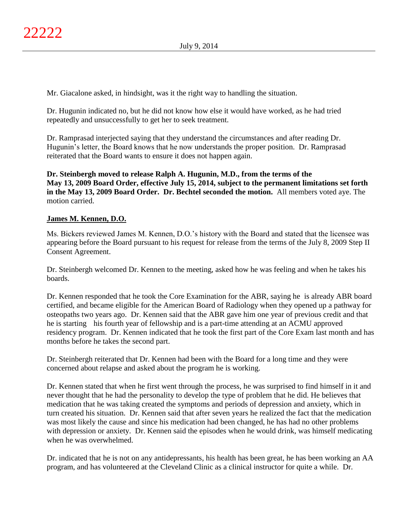Mr. Giacalone asked, in hindsight, was it the right way to handling the situation.

Dr. Hugunin indicated no, but he did not know how else it would have worked, as he had tried repeatedly and unsuccessfully to get her to seek treatment.

Dr. Ramprasad interjected saying that they understand the circumstances and after reading Dr. Hugunin's letter, the Board knows that he now understands the proper position. Dr. Ramprasad reiterated that the Board wants to ensure it does not happen again.

**Dr. Steinbergh moved to release Ralph A. Hugunin, M.D., from the terms of the May 13, 2009 Board Order, effective July 15, 2014, subject to the permanent limitations set forth in the May 13, 2009 Board Order. Dr. Bechtel seconded the motion.** All members voted aye. The motion carried.

# **James M. Kennen, D.O.**

Ms. Bickers reviewed James M. Kennen, D.O.'s history with the Board and stated that the licensee was appearing before the Board pursuant to his request for release from the terms of the July 8, 2009 Step II Consent Agreement.

Dr. Steinbergh welcomed Dr. Kennen to the meeting, asked how he was feeling and when he takes his boards.

Dr. Kennen responded that he took the Core Examination for the ABR, saying he is already ABR board certified, and became eligible for the American Board of Radiology when they opened up a pathway for osteopaths two years ago. Dr. Kennen said that the ABR gave him one year of previous credit and that he is starting his fourth year of fellowship and is a part-time attending at an ACMU approved residency program. Dr. Kennen indicated that he took the first part of the Core Exam last month and has months before he takes the second part.

Dr. Steinbergh reiterated that Dr. Kennen had been with the Board for a long time and they were concerned about relapse and asked about the program he is working.

Dr. Kennen stated that when he first went through the process, he was surprised to find himself in it and never thought that he had the personality to develop the type of problem that he did. He believes that medication that he was taking created the symptoms and periods of depression and anxiety, which in turn created his situation. Dr. Kennen said that after seven years he realized the fact that the medication was most likely the cause and since his medication had been changed, he has had no other problems with depression or anxiety. Dr. Kennen said the episodes when he would drink, was himself medicating when he was overwhelmed.

Dr. indicated that he is not on any antidepressants, his health has been great, he has been working an AA program, and has volunteered at the Cleveland Clinic as a clinical instructor for quite a while. Dr.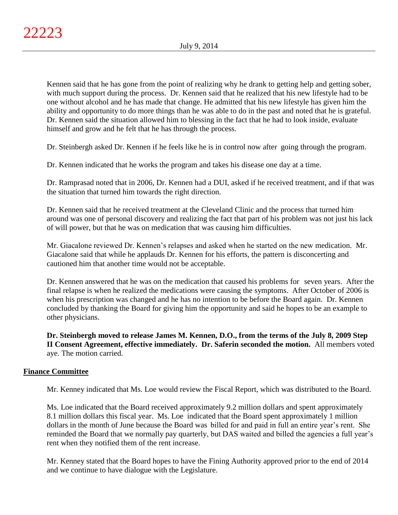Kennen said that he has gone from the point of realizing why he drank to getting help and getting sober, with much support during the process. Dr. Kennen said that he realized that his new lifestyle had to be one without alcohol and he has made that change. He admitted that his new lifestyle has given him the ability and opportunity to do more things than he was able to do in the past and noted that he is grateful. Dr. Kennen said the situation allowed him to blessing in the fact that he had to look inside, evaluate himself and grow and he felt that he has through the process.

Dr. Steinbergh asked Dr. Kennen if he feels like he is in control now after going through the program.

Dr. Kennen indicated that he works the program and takes his disease one day at a time.

Dr. Ramprasad noted that in 2006, Dr. Kennen had a DUI, asked if he received treatment, and if that was the situation that turned him towards the right direction.

Dr. Kennen said that he received treatment at the Cleveland Clinic and the process that turned him around was one of personal discovery and realizing the fact that part of his problem was not just his lack of will power, but that he was on medication that was causing him difficulties.

Mr. Giacalone reviewed Dr. Kennen's relapses and asked when he started on the new medication. Mr. Giacalone said that while he applauds Dr. Kennen for his efforts, the pattern is disconcerting and cautioned him that another time would not be acceptable.

Dr. Kennen answered that he was on the medication that caused his problems for seven years. After the final relapse is when he realized the medications were causing the symptoms. After October of 2006 is when his prescription was changed and he has no intention to be before the Board again. Dr. Kennen concluded by thanking the Board for giving him the opportunity and said he hopes to be an example to other physicians.

**Dr. Steinbergh moved to release James M. Kennen, D.O., from the terms of the July 8, 2009 Step II Consent Agreement, effective immediately. Dr. Saferin seconded the motion.** All members voted aye. The motion carried.

## **Finance Committee**

Mr. Kenney indicated that Ms. Loe would review the Fiscal Report, which was distributed to the Board.

Ms. Loe indicated that the Board received approximately 9.2 million dollars and spent approximately 8.1 million dollars this fiscal year. Ms. Loe indicated that the Board spent approximately 1 million dollars in the month of June because the Board was billed for and paid in full an entire year's rent. She reminded the Board that we normally pay quarterly, but DAS waited and billed the agencies a full year's rent when they notified them of the rent increase.

Mr. Kenney stated that the Board hopes to have the Fining Authority approved prior to the end of 2014 and we continue to have dialogue with the Legislature.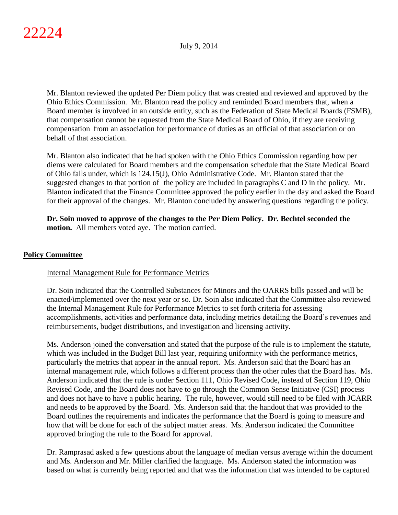Mr. Blanton reviewed the updated Per Diem policy that was created and reviewed and approved by the Ohio Ethics Commission. Mr. Blanton read the policy and reminded Board members that, when a Board member is involved in an outside entity, such as the Federation of State Medical Boards (FSMB), that compensation cannot be requested from the State Medical Board of Ohio, if they are receiving compensation from an association for performance of duties as an official of that association or on behalf of that association.

Mr. Blanton also indicated that he had spoken with the Ohio Ethics Commission regarding how per diems were calculated for Board members and the compensation schedule that the State Medical Board of Ohio falls under, which is 124.15(J), Ohio Administrative Code. Mr. Blanton stated that the suggested changes to that portion of the policy are included in paragraphs C and D in the policy. Mr. Blanton indicated that the Finance Committee approved the policy earlier in the day and asked the Board for their approval of the changes. Mr. Blanton concluded by answering questions regarding the policy.

**Dr. Soin moved to approve of the changes to the Per Diem Policy. Dr. Bechtel seconded the motion.** All members voted aye. The motion carried.

# **Policy Committee**

# Internal Management Rule for Performance Metrics

Dr. Soin indicated that the Controlled Substances for Minors and the OARRS bills passed and will be enacted/implemented over the next year or so. Dr. Soin also indicated that the Committee also reviewed the Internal Management Rule for Performance Metrics to set forth criteria for assessing accomplishments, activities and performance data, including metrics detailing the Board's revenues and reimbursements, budget distributions, and investigation and licensing activity.

Ms. Anderson joined the conversation and stated that the purpose of the rule is to implement the statute, which was included in the Budget Bill last year, requiring uniformity with the performance metrics, particularly the metrics that appear in the annual report. Ms. Anderson said that the Board has an internal management rule, which follows a different process than the other rules that the Board has. Ms. Anderson indicated that the rule is under Section 111, Ohio Revised Code, instead of Section 119, Ohio Revised Code, and the Board does not have to go through the Common Sense Initiative (CSI) process and does not have to have a public hearing. The rule, however, would still need to be filed with JCARR and needs to be approved by the Board. Ms. Anderson said that the handout that was provided to the Board outlines the requirements and indicates the performance that the Board is going to measure and how that will be done for each of the subject matter areas. Ms. Anderson indicated the Committee approved bringing the rule to the Board for approval.

Dr. Ramprasad asked a few questions about the language of median versus average within the document and Ms. Anderson and Mr. Miller clarified the language. Ms. Anderson stated the information was based on what is currently being reported and that was the information that was intended to be captured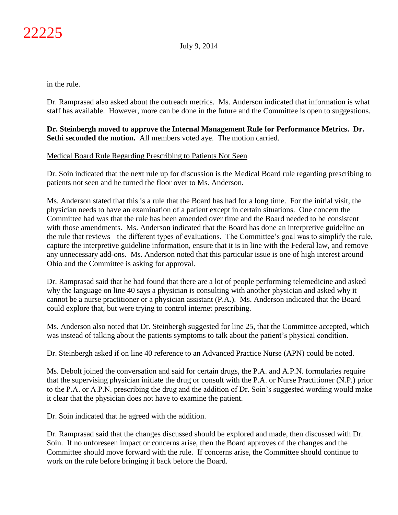in the rule.

Dr. Ramprasad also asked about the outreach metrics. Ms. Anderson indicated that information is what staff has available. However, more can be done in the future and the Committee is open to suggestions.

# **Dr. Steinbergh moved to approve the Internal Management Rule for Performance Metrics. Dr. Sethi seconded the motion.** All members voted aye. The motion carried.

# Medical Board Rule Regarding Prescribing to Patients Not Seen

Dr. Soin indicated that the next rule up for discussion is the Medical Board rule regarding prescribing to patients not seen and he turned the floor over to Ms. Anderson.

Ms. Anderson stated that this is a rule that the Board has had for a long time. For the initial visit, the physician needs to have an examination of a patient except in certain situations. One concern the Committee had was that the rule has been amended over time and the Board needed to be consistent with those amendments. Ms. Anderson indicated that the Board has done an interpretive guideline on the rule that reviews the different types of evaluations. The Committee's goal was to simplify the rule, capture the interpretive guideline information, ensure that it is in line with the Federal law, and remove any unnecessary add-ons. Ms. Anderson noted that this particular issue is one of high interest around Ohio and the Committee is asking for approval.

Dr. Ramprasad said that he had found that there are a lot of people performing telemedicine and asked why the language on line 40 says a physician is consulting with another physician and asked why it cannot be a nurse practitioner or a physician assistant (P.A.). Ms. Anderson indicated that the Board could explore that, but were trying to control internet prescribing.

Ms. Anderson also noted that Dr. Steinbergh suggested for line 25, that the Committee accepted, which was instead of talking about the patients symptoms to talk about the patient's physical condition.

Dr. Steinbergh asked if on line 40 reference to an Advanced Practice Nurse (APN) could be noted.

Ms. Debolt joined the conversation and said for certain drugs, the P.A. and A.P.N. formularies require that the supervising physician initiate the drug or consult with the P.A. or Nurse Practitioner (N.P.) prior to the P.A. or A.P.N. prescribing the drug and the addition of Dr. Soin's suggested wording would make it clear that the physician does not have to examine the patient.

Dr. Soin indicated that he agreed with the addition.

Dr. Ramprasad said that the changes discussed should be explored and made, then discussed with Dr. Soin. If no unforeseen impact or concerns arise, then the Board approves of the changes and the Committee should move forward with the rule. If concerns arise, the Committee should continue to work on the rule before bringing it back before the Board.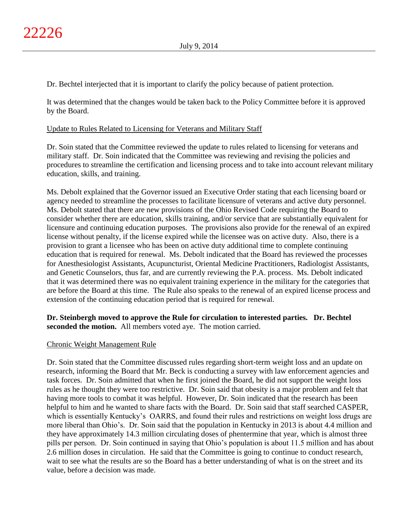Dr. Bechtel interjected that it is important to clarify the policy because of patient protection.

It was determined that the changes would be taken back to the Policy Committee before it is approved by the Board.

## Update to Rules Related to Licensing for Veterans and Military Staff

Dr. Soin stated that the Committee reviewed the update to rules related to licensing for veterans and military staff. Dr. Soin indicated that the Committee was reviewing and revising the policies and procedures to streamline the certification and licensing process and to take into account relevant military education, skills, and training.

Ms. Debolt explained that the Governor issued an Executive Order stating that each licensing board or agency needed to streamline the processes to facilitate licensure of veterans and active duty personnel. Ms. Debolt stated that there are new provisions of the Ohio Revised Code requiring the Board to consider whether there are education, skills training, and/or service that are substantially equivalent for licensure and continuing education purposes. The provisions also provide for the renewal of an expired license without penalty, if the license expired while the licensee was on active duty. Also, there is a provision to grant a licensee who has been on active duty additional time to complete continuing education that is required for renewal. Ms. Debolt indicated that the Board has reviewed the processes for Anesthesiologist Assistants, Acupuncturist, Oriental Medicine Practitioners, Radiologist Assistants, and Genetic Counselors, thus far, and are currently reviewing the P.A. process. Ms. Debolt indicated that it was determined there was no equivalent training experience in the military for the categories that are before the Board at this time. The Rule also speaks to the renewal of an expired license process and extension of the continuing education period that is required for renewal.

# **Dr. Steinbergh moved to approve the Rule for circulation to interested parties. Dr. Bechtel seconded the motion.** All members voted aye. The motion carried.

## Chronic Weight Management Rule

Dr. Soin stated that the Committee discussed rules regarding short-term weight loss and an update on research, informing the Board that Mr. Beck is conducting a survey with law enforcement agencies and task forces. Dr. Soin admitted that when he first joined the Board, he did not support the weight loss rules as he thought they were too restrictive. Dr. Soin said that obesity is a major problem and felt that having more tools to combat it was helpful. However, Dr. Soin indicated that the research has been helpful to him and he wanted to share facts with the Board. Dr. Soin said that staff searched CASPER, which is essentially Kentucky's OARRS, and found their rules and restrictions on weight loss drugs are more liberal than Ohio's. Dr. Soin said that the population in Kentucky in 2013 is about 4.4 million and they have approximately 14.3 million circulating doses of phentermine that year, which is almost three pills per person. Dr. Soin continued in saying that Ohio's population is about 11.5 million and has about 2.6 million doses in circulation. He said that the Committee is going to continue to conduct research, wait to see what the results are so the Board has a better understanding of what is on the street and its value, before a decision was made.